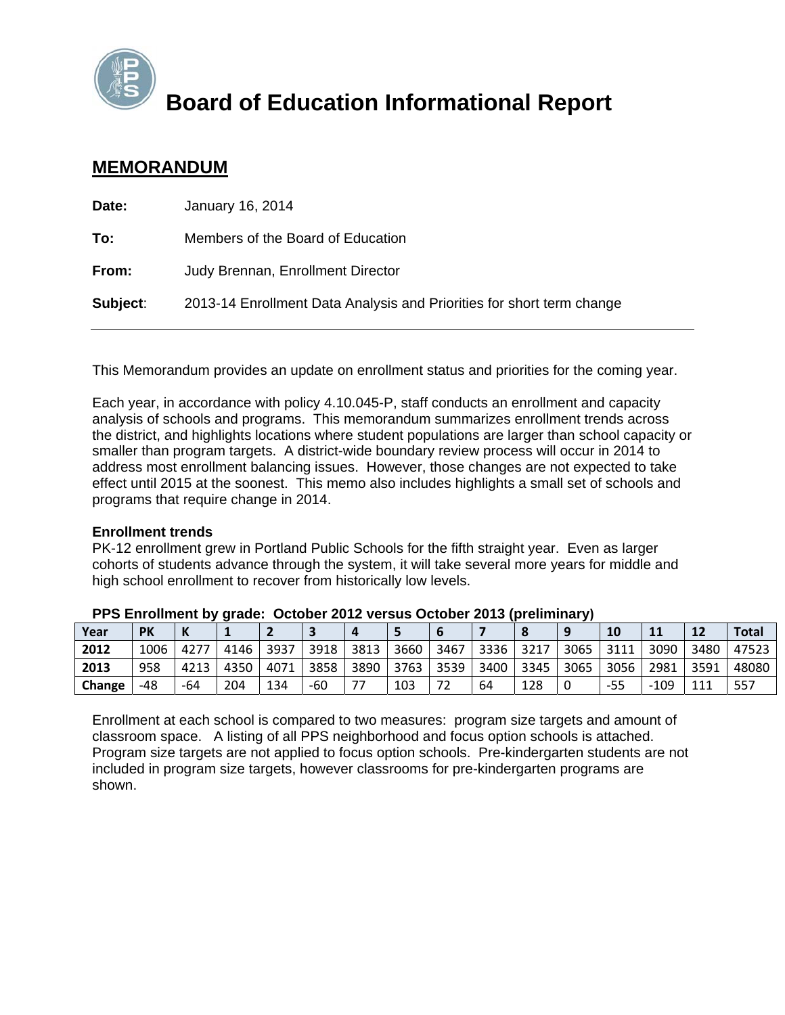

## **Board of Education Informational Report**

### **MEMORANDUM**

| Date:    | January 16, 2014                                                      |
|----------|-----------------------------------------------------------------------|
| To:      | Members of the Board of Education                                     |
| From:    | Judy Brennan, Enrollment Director                                     |
| Subject: | 2013-14 Enrollment Data Analysis and Priorities for short term change |
|          |                                                                       |

This Memorandum provides an update on enrollment status and priorities for the coming year.

Each year, in accordance with policy 4.10.045-P, staff conducts an enrollment and capacity analysis of schools and programs. This memorandum summarizes enrollment trends across the district, and highlights locations where student populations are larger than school capacity or smaller than program targets. A district-wide boundary review process will occur in 2014 to address most enrollment balancing issues. However, those changes are not expected to take effect until 2015 at the soonest. This memo also includes highlights a small set of schools and programs that require change in 2014.

#### **Enrollment trends**

PK-12 enrollment grew in Portland Public Schools for the fifth straight year. Even as larger cohorts of students advance through the system, it will take several more years for middle and high school enrollment to recover from historically low levels.

|        | $\sim$ . The sumbline state of the second second second serves to the summer $\eta$ |      |      |      |       |      |      |      |        |      |      |           |        |      |              |
|--------|-------------------------------------------------------------------------------------|------|------|------|-------|------|------|------|--------|------|------|-----------|--------|------|--------------|
| Year   | <b>PK</b>                                                                           |      |      |      |       |      |      |      |        |      |      | <b>10</b> |        | 12   | <b>Total</b> |
| 2012   | 1006                                                                                | 4277 | 4146 | 3937 | 3918  | 3813 | 3660 | 3467 | 3336 l | 3217 | 3065 | 3111      | 3090   | 3480 | 47523        |
| 2013   | 958                                                                                 | 4213 | 4350 | 4071 | 3858  | 3890 | 3763 | 3539 | 3400   | 3345 | 3065 | 3056      | 2981   | 3591 | 48080        |
| Change | -48                                                                                 | -64  | 204  | 134  | $-60$ |      | 103  |      | 64     | 128  | 0    | -55       | $-109$ | 111  | 557          |

| PPS Enrollment by grade: October 2012 versus October 2013 (preliminary) |  |  |  |
|-------------------------------------------------------------------------|--|--|--|
|-------------------------------------------------------------------------|--|--|--|

Enrollment at each school is compared to two measures: program size targets and amount of classroom space. A listing of all PPS neighborhood and focus option schools is attached. Program size targets are not applied to focus option schools. Pre-kindergarten students are not included in program size targets, however classrooms for pre-kindergarten programs are shown.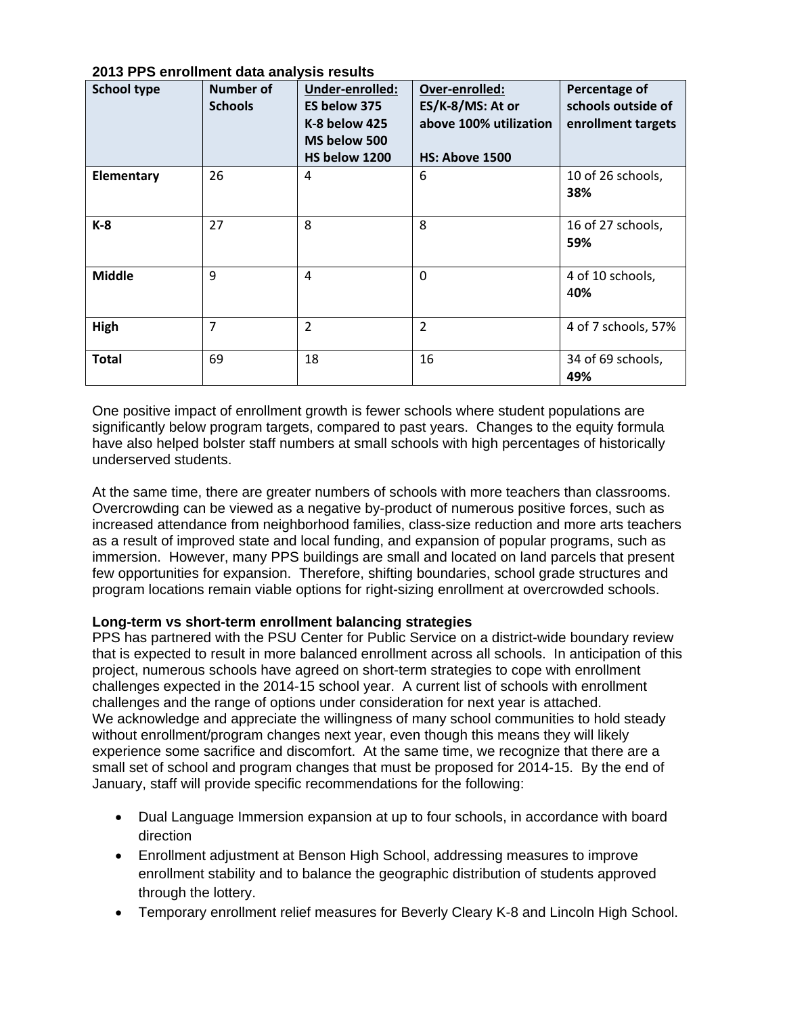| <b>School type</b> | <b>Number of</b><br><b>Schools</b> | Under-enrolled:<br>ES below 375<br>K-8 below 425<br>MS below 500<br>HS below 1200 | Over-enrolled:<br>ES/K-8/MS: At or<br>above 100% utilization<br><b>HS: Above 1500</b> | Percentage of<br>schools outside of<br>enrollment targets |
|--------------------|------------------------------------|-----------------------------------------------------------------------------------|---------------------------------------------------------------------------------------|-----------------------------------------------------------|
| Elementary         | 26                                 | 4                                                                                 | 6                                                                                     | 10 of 26 schools,<br>38%                                  |
| K-8                | 27                                 | 8                                                                                 | 8                                                                                     | 16 of 27 schools,<br>59%                                  |
| <b>Middle</b>      | 9                                  | $\overline{4}$                                                                    | 0                                                                                     | 4 of 10 schools,<br>40%                                   |
| High               | 7                                  | $\overline{2}$                                                                    | $\overline{2}$                                                                        | 4 of 7 schools, 57%                                       |
| <b>Total</b>       | 69                                 | 18                                                                                | 16                                                                                    | 34 of 69 schools,<br>49%                                  |

**2013 PPS enrollment data analysis results** 

One positive impact of enrollment growth is fewer schools where student populations are significantly below program targets, compared to past years. Changes to the equity formula have also helped bolster staff numbers at small schools with high percentages of historically underserved students.

At the same time, there are greater numbers of schools with more teachers than classrooms. Overcrowding can be viewed as a negative by-product of numerous positive forces, such as increased attendance from neighborhood families, class-size reduction and more arts teachers as a result of improved state and local funding, and expansion of popular programs, such as immersion. However, many PPS buildings are small and located on land parcels that present few opportunities for expansion. Therefore, shifting boundaries, school grade structures and program locations remain viable options for right-sizing enrollment at overcrowded schools.

#### **Long-term vs short-term enrollment balancing strategies**

PPS has partnered with the PSU Center for Public Service on a district-wide boundary review that is expected to result in more balanced enrollment across all schools. In anticipation of this project, numerous schools have agreed on short-term strategies to cope with enrollment challenges expected in the 2014-15 school year. A current list of schools with enrollment challenges and the range of options under consideration for next year is attached. We acknowledge and appreciate the willingness of many school communities to hold steady without enrollment/program changes next year, even though this means they will likely experience some sacrifice and discomfort. At the same time, we recognize that there are a small set of school and program changes that must be proposed for 2014-15. By the end of January, staff will provide specific recommendations for the following:

- Dual Language Immersion expansion at up to four schools, in accordance with board direction
- Enrollment adjustment at Benson High School, addressing measures to improve enrollment stability and to balance the geographic distribution of students approved through the lottery.
- Temporary enrollment relief measures for Beverly Cleary K-8 and Lincoln High School.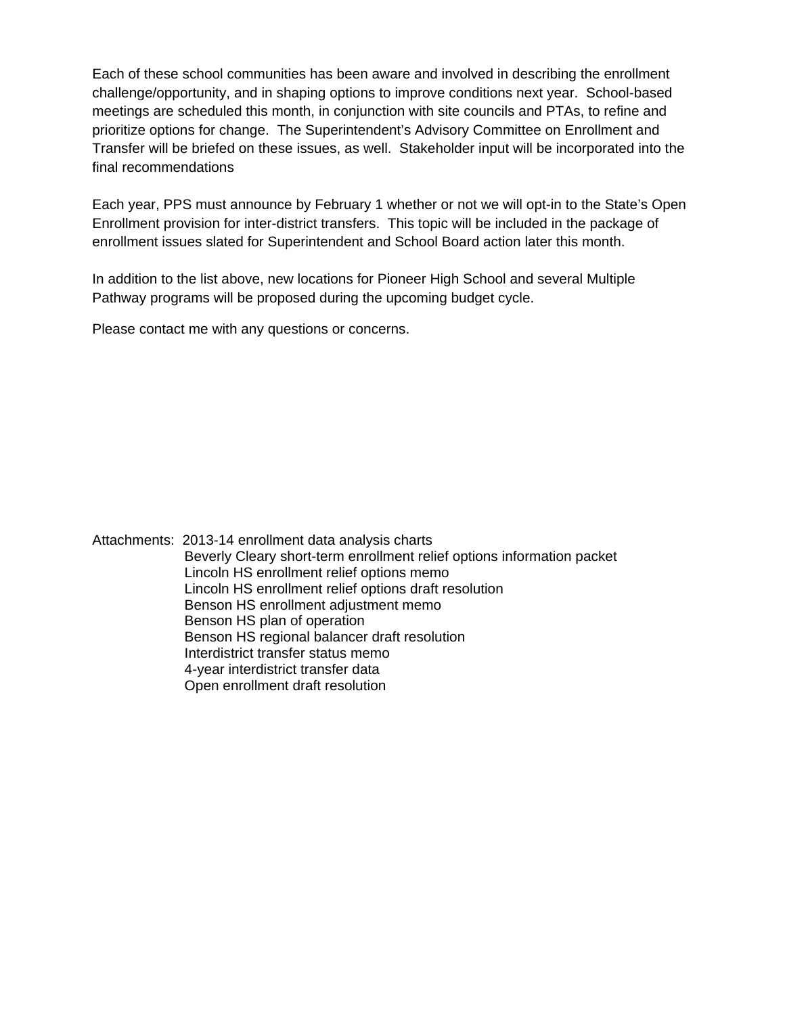Each of these school communities has been aware and involved in describing the enrollment challenge/opportunity, and in shaping options to improve conditions next year. School-based meetings are scheduled this month, in conjunction with site councils and PTAs, to refine and prioritize options for change. The Superintendent's Advisory Committee on Enrollment and Transfer will be briefed on these issues, as well. Stakeholder input will be incorporated into the final recommendations

Each year, PPS must announce by February 1 whether or not we will opt-in to the State's Open Enrollment provision for inter-district transfers. This topic will be included in the package of enrollment issues slated for Superintendent and School Board action later this month.

In addition to the list above, new locations for Pioneer High School and several Multiple Pathway programs will be proposed during the upcoming budget cycle.

Please contact me with any questions or concerns.

Attachments: 2013-14 enrollment data analysis charts Beverly Cleary short-term enrollment relief options information packet Lincoln HS enrollment relief options memo Lincoln HS enrollment relief options draft resolution Benson HS enrollment adjustment memo Benson HS plan of operation Benson HS regional balancer draft resolution Interdistrict transfer status memo 4-year interdistrict transfer data Open enrollment draft resolution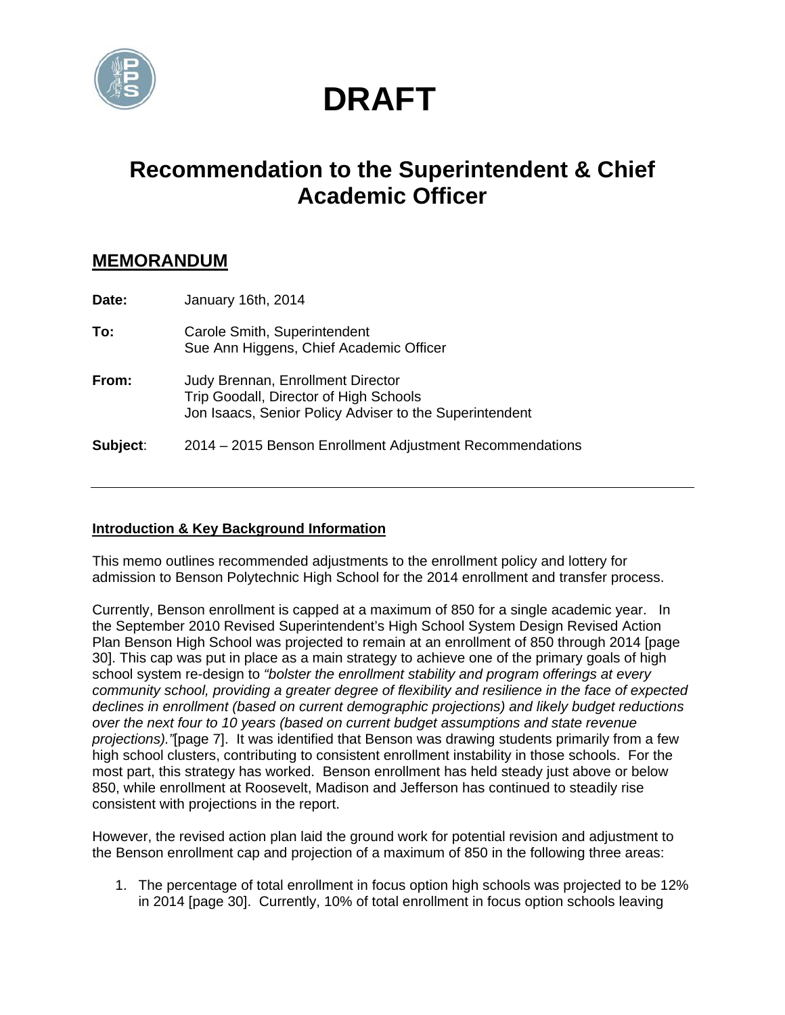

# **DRAFT**

## **Recommendation to the Superintendent & Chief Academic Officer**

### **MEMORANDUM**

| Date:    | January 16th, 2014                                                                                                                            |
|----------|-----------------------------------------------------------------------------------------------------------------------------------------------|
| To:      | Carole Smith, Superintendent<br>Sue Ann Higgens, Chief Academic Officer                                                                       |
| From:    | <b>Judy Brennan, Enrollment Director</b><br>Trip Goodall, Director of High Schools<br>Jon Isaacs, Senior Policy Adviser to the Superintendent |
| Subject: | 2014 – 2015 Benson Enrollment Adjustment Recommendations                                                                                      |

#### **Introduction & Key Background Information**

This memo outlines recommended adjustments to the enrollment policy and lottery for admission to Benson Polytechnic High School for the 2014 enrollment and transfer process.

Currently, Benson enrollment is capped at a maximum of 850 for a single academic year. In the September 2010 Revised Superintendent's High School System Design Revised Action Plan Benson High School was projected to remain at an enrollment of 850 through 2014 [page 30]. This cap was put in place as a main strategy to achieve one of the primary goals of high school system re-design to *"bolster the enrollment stability and program offerings at every community school, providing a greater degree of flexibility and resilience in the face of expected declines in enrollment (based on current demographic projections) and likely budget reductions over the next four to 10 years (based on current budget assumptions and state revenue projections)."*[page 7]. It was identified that Benson was drawing students primarily from a few high school clusters, contributing to consistent enrollment instability in those schools. For the most part, this strategy has worked. Benson enrollment has held steady just above or below 850, while enrollment at Roosevelt, Madison and Jefferson has continued to steadily rise consistent with projections in the report.

However, the revised action plan laid the ground work for potential revision and adjustment to the Benson enrollment cap and projection of a maximum of 850 in the following three areas:

1. The percentage of total enrollment in focus option high schools was projected to be 12% in 2014 [page 30]. Currently, 10% of total enrollment in focus option schools leaving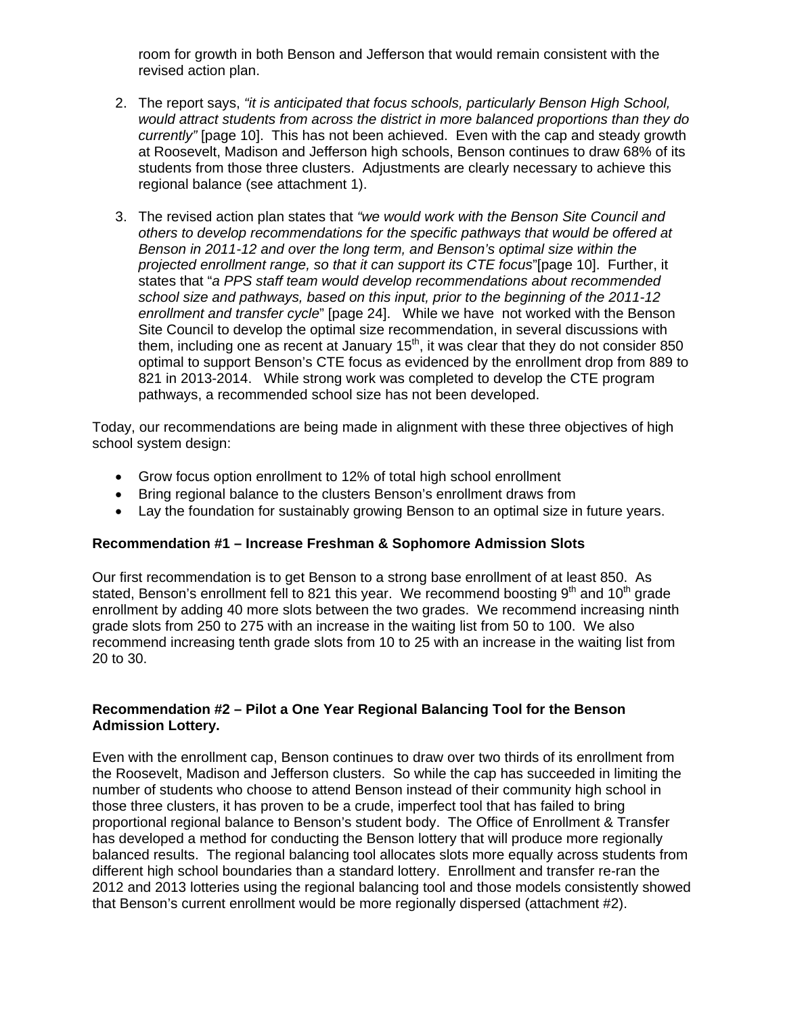room for growth in both Benson and Jefferson that would remain consistent with the revised action plan.

- 2. The report says, *"it is anticipated that focus schools, particularly Benson High School, would attract students from across the district in more balanced proportions than they do currently"* [page 10]. This has not been achieved. Even with the cap and steady growth at Roosevelt, Madison and Jefferson high schools, Benson continues to draw 68% of its students from those three clusters. Adjustments are clearly necessary to achieve this regional balance (see attachment 1).
- 3. The revised action plan states that *"we would work with the Benson Site Council and others to develop recommendations for the specific pathways that would be offered at Benson in 2011-12 and over the long term, and Benson's optimal size within the projected enrollment range, so that it can support its CTE focus*"[page 10]. Further, it states that "*a PPS staff team would develop recommendations about recommended school size and pathways, based on this input, prior to the beginning of the 2011-12 enrollment and transfer cycle*" [page 24]. While we have not worked with the Benson Site Council to develop the optimal size recommendation, in several discussions with them, including one as recent at January  $15<sup>th</sup>$ , it was clear that they do not consider 850 optimal to support Benson's CTE focus as evidenced by the enrollment drop from 889 to 821 in 2013-2014. While strong work was completed to develop the CTE program pathways, a recommended school size has not been developed.

Today, our recommendations are being made in alignment with these three objectives of high school system design:

- Grow focus option enrollment to 12% of total high school enrollment
- Bring regional balance to the clusters Benson's enrollment draws from
- Lay the foundation for sustainably growing Benson to an optimal size in future years.

#### **Recommendation #1 – Increase Freshman & Sophomore Admission Slots**

Our first recommendation is to get Benson to a strong base enrollment of at least 850. As stated, Benson's enrollment fell to 821 this year. We recommend boosting  $9<sup>th</sup>$  and 10<sup>th</sup> grade enrollment by adding 40 more slots between the two grades. We recommend increasing ninth grade slots from 250 to 275 with an increase in the waiting list from 50 to 100. We also recommend increasing tenth grade slots from 10 to 25 with an increase in the waiting list from 20 to 30.

#### **Recommendation #2 – Pilot a One Year Regional Balancing Tool for the Benson Admission Lottery.**

Even with the enrollment cap, Benson continues to draw over two thirds of its enrollment from the Roosevelt, Madison and Jefferson clusters. So while the cap has succeeded in limiting the number of students who choose to attend Benson instead of their community high school in those three clusters, it has proven to be a crude, imperfect tool that has failed to bring proportional regional balance to Benson's student body. The Office of Enrollment & Transfer has developed a method for conducting the Benson lottery that will produce more regionally balanced results. The regional balancing tool allocates slots more equally across students from different high school boundaries than a standard lottery. Enrollment and transfer re-ran the 2012 and 2013 lotteries using the regional balancing tool and those models consistently showed that Benson's current enrollment would be more regionally dispersed (attachment #2).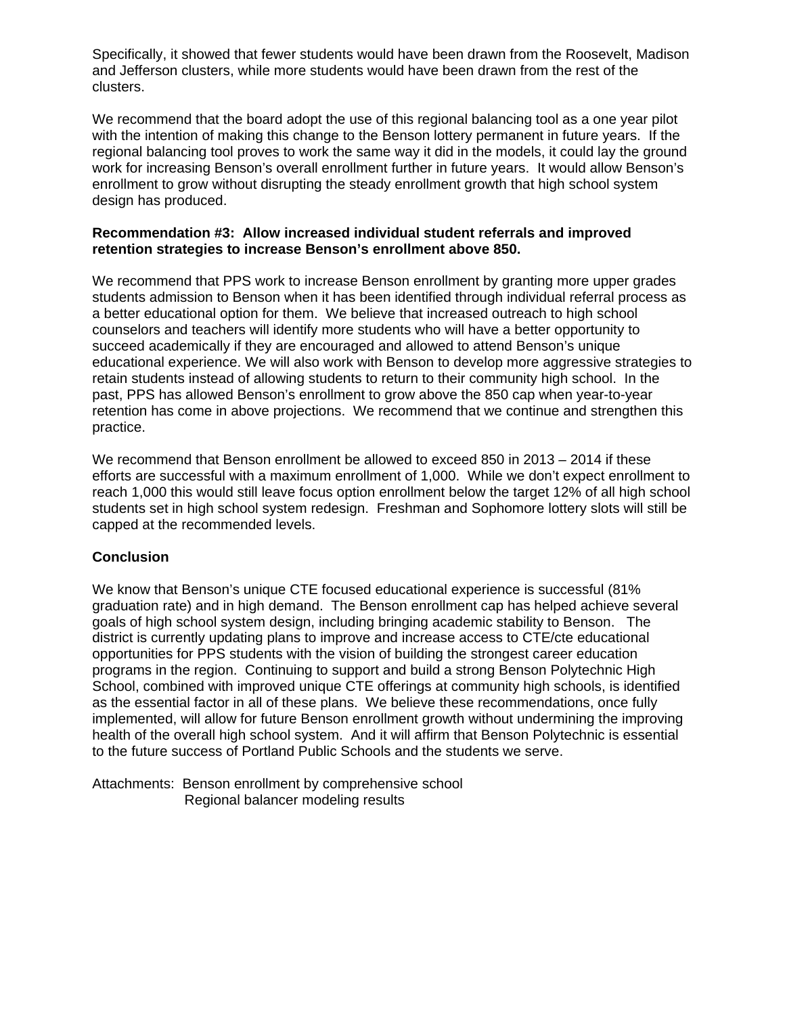Specifically, it showed that fewer students would have been drawn from the Roosevelt, Madison and Jefferson clusters, while more students would have been drawn from the rest of the clusters.

We recommend that the board adopt the use of this regional balancing tool as a one year pilot with the intention of making this change to the Benson lottery permanent in future years. If the regional balancing tool proves to work the same way it did in the models, it could lay the ground work for increasing Benson's overall enrollment further in future years. It would allow Benson's enrollment to grow without disrupting the steady enrollment growth that high school system design has produced.

#### **Recommendation #3: Allow increased individual student referrals and improved retention strategies to increase Benson's enrollment above 850.**

We recommend that PPS work to increase Benson enrollment by granting more upper grades students admission to Benson when it has been identified through individual referral process as a better educational option for them. We believe that increased outreach to high school counselors and teachers will identify more students who will have a better opportunity to succeed academically if they are encouraged and allowed to attend Benson's unique educational experience. We will also work with Benson to develop more aggressive strategies to retain students instead of allowing students to return to their community high school. In the past, PPS has allowed Benson's enrollment to grow above the 850 cap when year-to-year retention has come in above projections. We recommend that we continue and strengthen this practice.

We recommend that Benson enrollment be allowed to exceed 850 in 2013 – 2014 if these efforts are successful with a maximum enrollment of 1,000. While we don't expect enrollment to reach 1,000 this would still leave focus option enrollment below the target 12% of all high school students set in high school system redesign. Freshman and Sophomore lottery slots will still be capped at the recommended levels.

#### **Conclusion**

We know that Benson's unique CTE focused educational experience is successful (81% graduation rate) and in high demand. The Benson enrollment cap has helped achieve several goals of high school system design, including bringing academic stability to Benson. The district is currently updating plans to improve and increase access to CTE/cte educational opportunities for PPS students with the vision of building the strongest career education programs in the region. Continuing to support and build a strong Benson Polytechnic High School, combined with improved unique CTE offerings at community high schools, is identified as the essential factor in all of these plans. We believe these recommendations, once fully implemented, will allow for future Benson enrollment growth without undermining the improving health of the overall high school system. And it will affirm that Benson Polytechnic is essential to the future success of Portland Public Schools and the students we serve.

Attachments: Benson enrollment by comprehensive school Regional balancer modeling results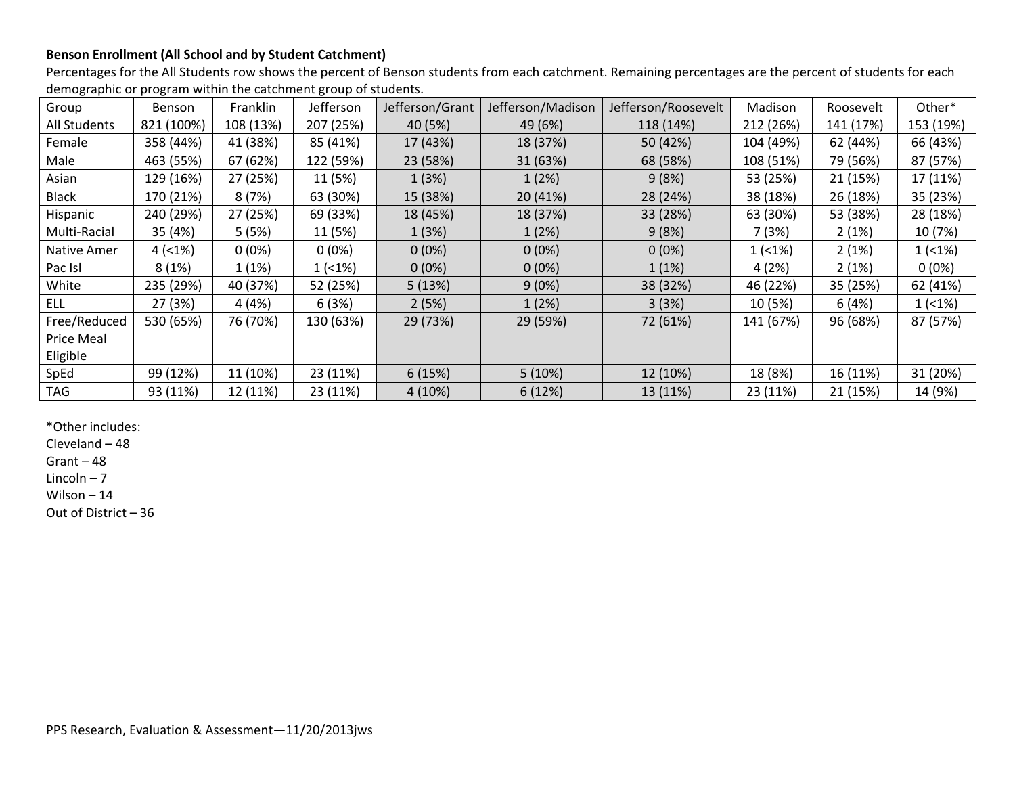#### **Benson Enrollment (All School and by Student Catchment)**

Percentages for the All Students row shows the percent of Benson students from each catchment. Remaining percentages are the percent of students for each demographic or program within the catchment group of students.

| Group             | <b>Benson</b> | Franklin  | Jefferson   | Jefferson/Grant | Jefferson/Madison | Jefferson/Roosevelt | Madison   | Roosevelt | Other*      |
|-------------------|---------------|-----------|-------------|-----------------|-------------------|---------------------|-----------|-----------|-------------|
| All Students      | 821 (100%)    | 108 (13%) | 207 (25%)   | 40 (5%)         | 49 (6%)           | 118 (14%)           | 212 (26%) | 141 (17%) | 153 (19%)   |
| Female            | 358 (44%)     | 41 (38%)  | 85 (41%)    | 17 (43%)        | 18 (37%)          | 50 (42%)            | 104 (49%) | 62 (44%)  | 66 (43%)    |
| Male              | 463 (55%)     | 67 (62%)  | 122 (59%)   | 23 (58%)        | 31 (63%)          | 68 (58%)            | 108 (51%) | 79 (56%)  | 87 (57%)    |
| Asian             | 129 (16%)     | 27 (25%)  | 11 (5%)     | 1(3%)           | 1(2%)             | 9(8%)               | 53 (25%)  | 21 (15%)  | 17 (11%)    |
| <b>Black</b>      | 170 (21%)     | 8(7%)     | 63 (30%)    | 15 (38%)        | 20 (41%)          | 28 (24%)            | 38 (18%)  | 26 (18%)  | 35 (23%)    |
| Hispanic          | 240 (29%)     | 27 (25%)  | 69 (33%)    | 18 (45%)        | 18 (37%)          | 33 (28%)            | 63 (30%)  | 53 (38%)  | 28 (18%)    |
| Multi-Racial      | 35 (4%)       | 5(5%)     | 11 (5%)     | 1(3%)           | 1(2%)             | 9(8%)               | 7(3%)     | 2(1%)     | 10 (7%)     |
| Native Amer       | 4(1%)         | $0(0\%)$  | $0(0\%)$    | $0(0\%)$        | $0(0\%)$          | $0(0\%)$            | $1(1\%)$  | 2(1%)     | $1( < 1\%)$ |
| Pac Isl           | 8(1%)         | 1(1%)     | $1( < 1\%)$ | $0(0\%)$        | $0(0\%)$          | 1(1%)               | 4(2%)     | 2(1%)     | $0(0\%)$    |
| White             | 235 (29%)     | 40 (37%)  | 52 (25%)    | 5(13%)          | 9(0%)             | 38 (32%)            | 46 (22%)  | 35 (25%)  | 62 (41%)    |
| <b>ELL</b>        | 27 (3%)       | 4(4%)     | 6(3%)       | 2(5%)           | 1(2%)             | 3(3%)               | 10 (5%)   | 6(4%)     | $1( < 1\%)$ |
| Free/Reduced      | 530 (65%)     | 76 (70%)  | 130 (63%)   | 29 (73%)        | 29 (59%)          | 72 (61%)            | 141 (67%) | 96 (68%)  | 87 (57%)    |
| <b>Price Meal</b> |               |           |             |                 |                   |                     |           |           |             |
| Eligible          |               |           |             |                 |                   |                     |           |           |             |
| SpEd              | 99 (12%)      | 11 (10%)  | 23 (11%)    | 6(15%)          | 5(10%)            | 12 (10%)            | 18 (8%)   | 16 (11%)  | 31 (20%)    |
| <b>TAG</b>        | 93 (11%)      | 12 (11%)  | 23 (11%)    | 4(10%)          | 6(12%)            | 13 (11%)            | 23 (11%)  | 21 (15%)  | 14 (9%)     |

\*Other includes:

Cleveland – 48

Grant – 48

Lincoln – 7

Wilson – 14

Out of District – 36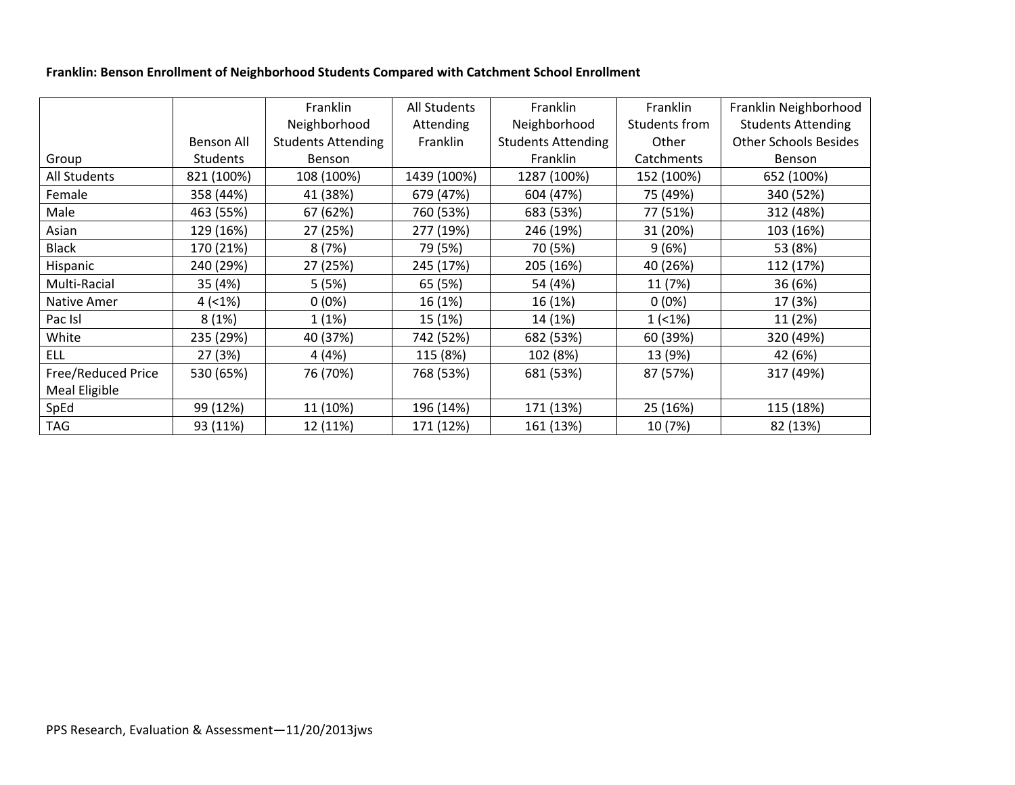#### **Franklin: Benson Enrollment of Neighborhood Students Compared with Catchment School Enrollment**

|                      |                   | Franklin                  | All Students | Franklin                  | Franklin      | Franklin Neighborhood        |
|----------------------|-------------------|---------------------------|--------------|---------------------------|---------------|------------------------------|
|                      |                   | Neighborhood              | Attending    | Neighborhood              | Students from | <b>Students Attending</b>    |
|                      | <b>Benson All</b> | <b>Students Attending</b> | Franklin     | <b>Students Attending</b> | Other         | <b>Other Schools Besides</b> |
| Group                | <b>Students</b>   | <b>Benson</b>             |              | Franklin                  | Catchments    | Benson                       |
| All Students         | 821 (100%)        | 108 (100%)                | 1439 (100%)  | 1287 (100%)               | 152 (100%)    | 652 (100%)                   |
| Female               | 358 (44%)         | 41 (38%)                  | 679 (47%)    | 604 (47%)                 | 75 (49%)      | 340 (52%)                    |
| Male                 | 463 (55%)         | 67 (62%)                  | 760 (53%)    | 683 (53%)                 | 77 (51%)      | 312 (48%)                    |
| Asian                | 129 (16%)         | 27 (25%)                  | 277 (19%)    | 246 (19%)                 | 31 (20%)      | 103 (16%)                    |
| <b>Black</b>         | 170 (21%)         | 8(7%)                     | 79 (5%)      | 70 (5%)                   | 9(6%)         | 53 (8%)                      |
| Hispanic             | 240 (29%)         | 27 (25%)                  | 245 (17%)    | 205 (16%)                 | 40 (26%)      | 112 (17%)                    |
| Multi-Racial         | 35 (4%)           | 5(5%)                     | 65 (5%)      | 54 (4%)                   | 11 (7%)       | 36 (6%)                      |
| Native Amer          | $4( <1\%)$        | $0(0\%)$                  | 16 (1%)      | 16 (1%)                   | $0(0\%)$      | 17 (3%)                      |
| Pac Isl              | 8(1%)             | 1(1%)                     | 15 (1%)      | 14 (1%)                   | 1(1%)         | 11 (2%)                      |
| White                | 235 (29%)         | 40 (37%)                  | 742 (52%)    | 682 (53%)                 | 60 (39%)      | 320 (49%)                    |
| <b>ELL</b>           | 27 (3%)           | 4(4%)                     | 115 (8%)     | 102 (8%)                  | 13 (9%)       | 42 (6%)                      |
| Free/Reduced Price   | 530 (65%)         | 76 (70%)                  | 768 (53%)    | 681 (53%)                 | 87 (57%)      | 317 (49%)                    |
| <b>Meal Eligible</b> |                   |                           |              |                           |               |                              |
| SpEd                 | 99 (12%)          | 11 (10%)                  | 196 (14%)    | 171 (13%)                 | 25 (16%)      | 115 (18%)                    |
| <b>TAG</b>           | 93 (11%)          | 12 (11%)                  | 171 (12%)    | 161 (13%)                 | 10 (7%)       | 82 (13%)                     |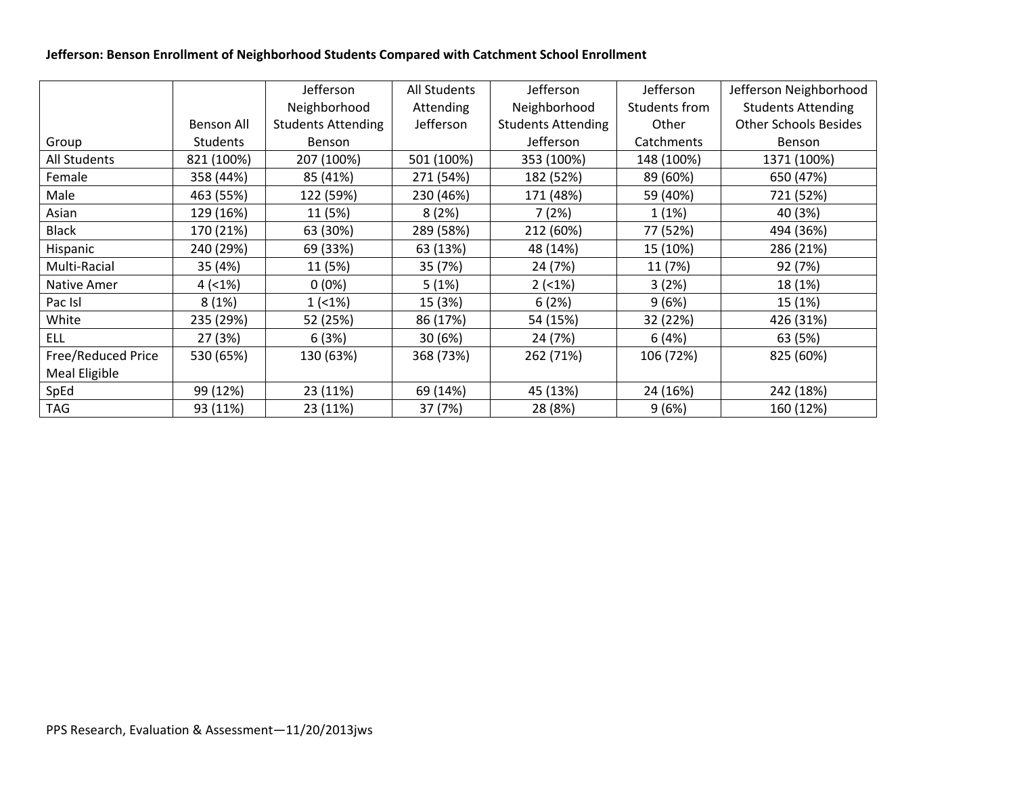#### **Jefferson: Benson Enrollment of Neighborhood Students Compared with Catchment School Enrollment**

|                     |                   | Jefferson                 | All Students | Jefferson                 | Jefferson     | Jefferson Neighborhood       |
|---------------------|-------------------|---------------------------|--------------|---------------------------|---------------|------------------------------|
|                     |                   | Neighborhood              | Attending    | Neighborhood              | Students from | <b>Students Attending</b>    |
|                     | <b>Benson All</b> | <b>Students Attending</b> | Jefferson    | <b>Students Attending</b> | Other         | <b>Other Schools Besides</b> |
| Group               | <b>Students</b>   | <b>Benson</b>             |              | Jefferson                 | Catchments    | <b>Benson</b>                |
| <b>All Students</b> | 821 (100%)        | 207 (100%)                | 501 (100%)   | 353 (100%)                | 148 (100%)    | 1371 (100%)                  |
| Female              | 358 (44%)         | 85 (41%)                  | 271 (54%)    | 182 (52%)                 | 89 (60%)      | 650 (47%)                    |
| Male                | 463 (55%)         | 122 (59%)                 | 230 (46%)    | 171 (48%)                 | 59 (40%)      | 721 (52%)                    |
| Asian               | 129 (16%)         | 11 (5%)                   | 8(2%)        | 7(2%)                     | 1(1%)         | 40 (3%)                      |
| <b>Black</b>        | 170 (21%)         | 63 (30%)                  | 289 (58%)    | 212 (60%)                 | 77 (52%)      | 494 (36%)                    |
| Hispanic            | 240 (29%)         | 69 (33%)                  | 63 (13%)     | 48 (14%)                  | 15 (10%)      | 286 (21%)                    |
| Multi-Racial        | 35 (4%)           | 11 (5%)                   | 35 (7%)      | 24 (7%)                   | 11 (7%)       | 92 (7%)                      |
| Native Amer         | 4(1%)             | $0(0\%)$                  | 5(1%)        | $2( < 1\%)$               | 3(2%)         | 18 (1%)                      |
| Pac Isl             | 8(1%)             | 1(1%)                     | 15 (3%)      | 6(2%)                     | 9(6%)         | 15 (1%)                      |
| White               | 235 (29%)         | 52 (25%)                  | 86 (17%)     | 54 (15%)                  | 32 (22%)      | 426 (31%)                    |
| <b>ELL</b>          | 27 (3%)           | 6(3%)                     | 30 (6%)      | 24 (7%)                   | 6(4%)         | 63 (5%)                      |
| Free/Reduced Price  | 530 (65%)         | 130 (63%)                 | 368 (73%)    | 262 (71%)                 | 106 (72%)     | 825 (60%)                    |
| Meal Eligible       |                   |                           |              |                           |               |                              |
| SpEd                | 99 (12%)          | 23 (11%)                  | 69 (14%)     | 45 (13%)                  | 24 (16%)      | 242 (18%)                    |
| <b>TAG</b>          | 93 (11%)          | 23 (11%)                  | 37 (7%)      | 28 (8%)                   | 9(6%)         | 160 (12%)                    |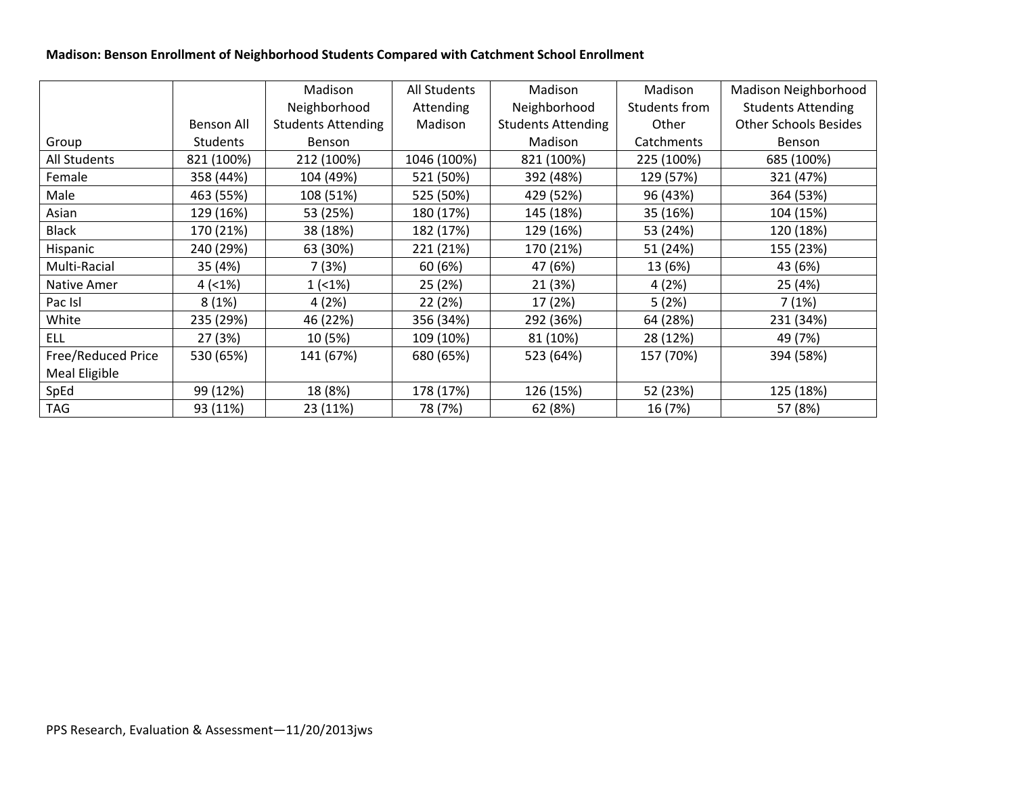#### **Madison: Benson Enrollment of Neighborhood Students Compared with Catchment School Enrollment**

|                     |                   | Madison                   | All Students | Madison                   | Madison       | Madison Neighborhood         |
|---------------------|-------------------|---------------------------|--------------|---------------------------|---------------|------------------------------|
|                     |                   | Neighborhood              | Attending    | Neighborhood              | Students from | <b>Students Attending</b>    |
|                     | <b>Benson All</b> | <b>Students Attending</b> | Madison      | <b>Students Attending</b> | Other         | <b>Other Schools Besides</b> |
| Group               | <b>Students</b>   | <b>Benson</b>             |              | Madison                   | Catchments    | Benson                       |
| <b>All Students</b> | 821 (100%)        | 212 (100%)                | 1046 (100%)  | 821 (100%)                | 225 (100%)    | 685 (100%)                   |
| Female              | 358 (44%)         | 104 (49%)                 | 521 (50%)    | 392 (48%)                 | 129 (57%)     | 321 (47%)                    |
| Male                | 463 (55%)         | 108 (51%)                 | 525 (50%)    | 429 (52%)                 | 96 (43%)      | 364 (53%)                    |
| Asian               | 129 (16%)         | 53 (25%)                  | 180 (17%)    | 145 (18%)                 | 35 (16%)      | 104 (15%)                    |
| <b>Black</b>        | 170 (21%)         | 38 (18%)                  | 182 (17%)    | 129 (16%)                 | 53 (24%)      | 120 (18%)                    |
| Hispanic            | 240 (29%)         | 63 (30%)                  | 221 (21%)    | 170 (21%)                 | 51 (24%)      | 155 (23%)                    |
| Multi-Racial        | 35 (4%)           | 7 (3%)                    | 60 (6%)      | 47 (6%)                   | 13 (6%)       | 43 (6%)                      |
| Native Amer         | 4(1%)             | $1(1\%)$                  | 25 (2%)      | 21 (3%)                   | 4(2%)         | 25 (4%)                      |
| Pac Isl             | 8(1%)             | 4(2%)                     | 22 (2%)      | 17 (2%)                   | 5(2%)         | 7(1%)                        |
| White               | 235 (29%)         | 46 (22%)                  | 356 (34%)    | 292 (36%)                 | 64 (28%)      | 231 (34%)                    |
| <b>ELL</b>          | 27 (3%)           | 10 (5%)                   | 109 (10%)    | 81 (10%)                  | 28 (12%)      | 49 (7%)                      |
| Free/Reduced Price  | 530 (65%)         | 141 (67%)                 | 680 (65%)    | 523 (64%)                 | 157 (70%)     | 394 (58%)                    |
| Meal Eligible       |                   |                           |              |                           |               |                              |
| SpEd                | 99 (12%)          | 18 (8%)                   | 178 (17%)    | 126 (15%)                 | 52 (23%)      | 125 (18%)                    |
| <b>TAG</b>          | 93 (11%)          | 23 (11%)                  | 78 (7%)      | 62 (8%)                   | 16 (7%)       | 57 (8%)                      |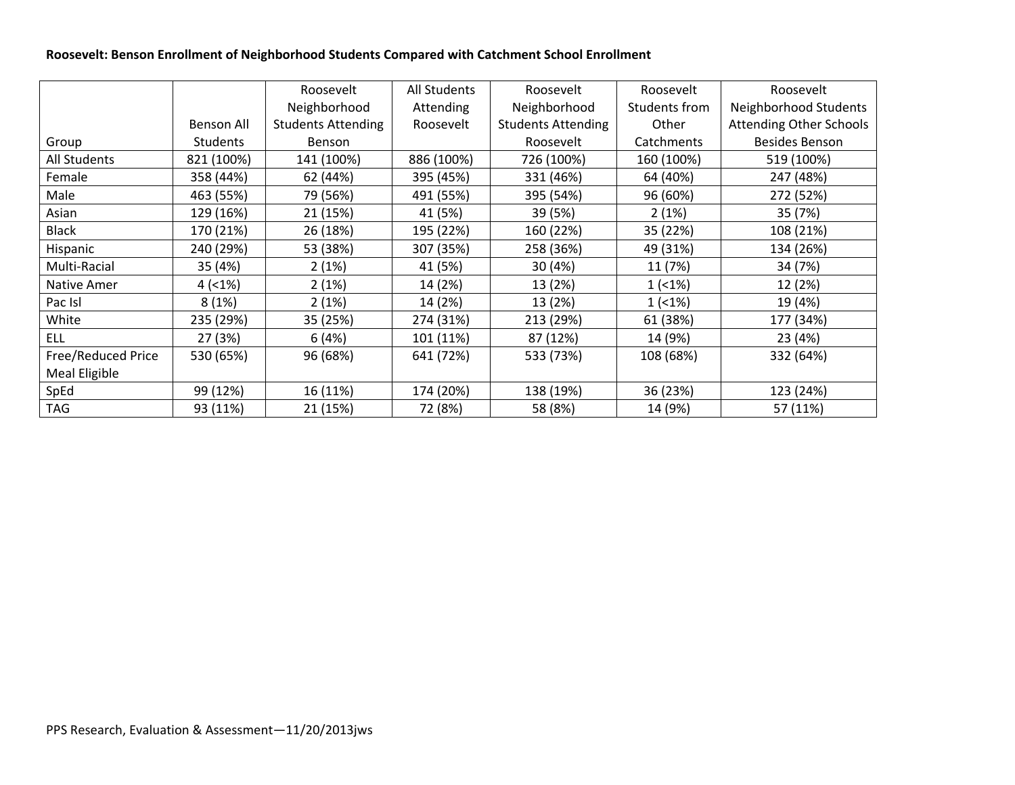#### **Roosevelt: Benson Enrollment of Neighborhood Students Compared with Catchment School Enrollment**

|                    |                   | Roosevelt                 | All Students | Roosevelt                 | Roosevelt     | Roosevelt                      |
|--------------------|-------------------|---------------------------|--------------|---------------------------|---------------|--------------------------------|
|                    |                   | Neighborhood              | Attending    | Neighborhood              | Students from | Neighborhood Students          |
|                    | <b>Benson All</b> | <b>Students Attending</b> | Roosevelt    | <b>Students Attending</b> | Other         | <b>Attending Other Schools</b> |
| Group              | <b>Students</b>   | Benson                    |              | Roosevelt                 | Catchments    | <b>Besides Benson</b>          |
| All Students       | 821 (100%)        | 141 (100%)                | 886 (100%)   | 726 (100%)                | 160 (100%)    | 519 (100%)                     |
| Female             | 358 (44%)         | 62 (44%)                  | 395 (45%)    | 331 (46%)                 | 64 (40%)      | 247 (48%)                      |
| Male               | 463 (55%)         | 79 (56%)                  | 491 (55%)    | 395 (54%)                 | 96 (60%)      | 272 (52%)                      |
| Asian              | 129 (16%)         | 21 (15%)                  | 41 (5%)      | 39 (5%)                   | 2(1%)         | 35 (7%)                        |
| <b>Black</b>       | 170 (21%)         | 26 (18%)                  | 195 (22%)    | 160 (22%)                 | 35 (22%)      | 108 (21%)                      |
| Hispanic           | 240 (29%)         | 53 (38%)                  | 307 (35%)    | 258 (36%)                 | 49 (31%)      | 134 (26%)                      |
| Multi-Racial       | 35 (4%)           | 2(1%)                     | 41 (5%)      | 30 (4%)                   | 11 (7%)       | 34 (7%)                        |
| Native Amer        | 4(1%)             | 2(1%)                     | 14 (2%)      | 13 (2%)                   | $1( < 1\%)$   | 12 (2%)                        |
| Pac Isl            | 8(1%)             | 2(1%)                     | 14 (2%)      | 13 (2%)                   | $1(1\%)$      | 19 (4%)                        |
| White              | 235 (29%)         | 35 (25%)                  | 274 (31%)    | 213 (29%)                 | 61 (38%)      | 177 (34%)                      |
| <b>ELL</b>         | 27 (3%)           | 6(4%)                     | 101 (11%)    | 87 (12%)                  | 14 (9%)       | 23 (4%)                        |
| Free/Reduced Price | 530 (65%)         | 96 (68%)                  | 641 (72%)    | 533 (73%)                 | 108 (68%)     | 332 (64%)                      |
| Meal Eligible      |                   |                           |              |                           |               |                                |
| SpEd               | 99 (12%)          | 16 (11%)                  | 174 (20%)    | 138 (19%)                 | 36 (23%)      | 123 (24%)                      |
| <b>TAG</b>         | 93 (11%)          | 21 (15%)                  | 72 (8%)      | 58 (8%)                   | 14 (9%)       | 57 (11%)                       |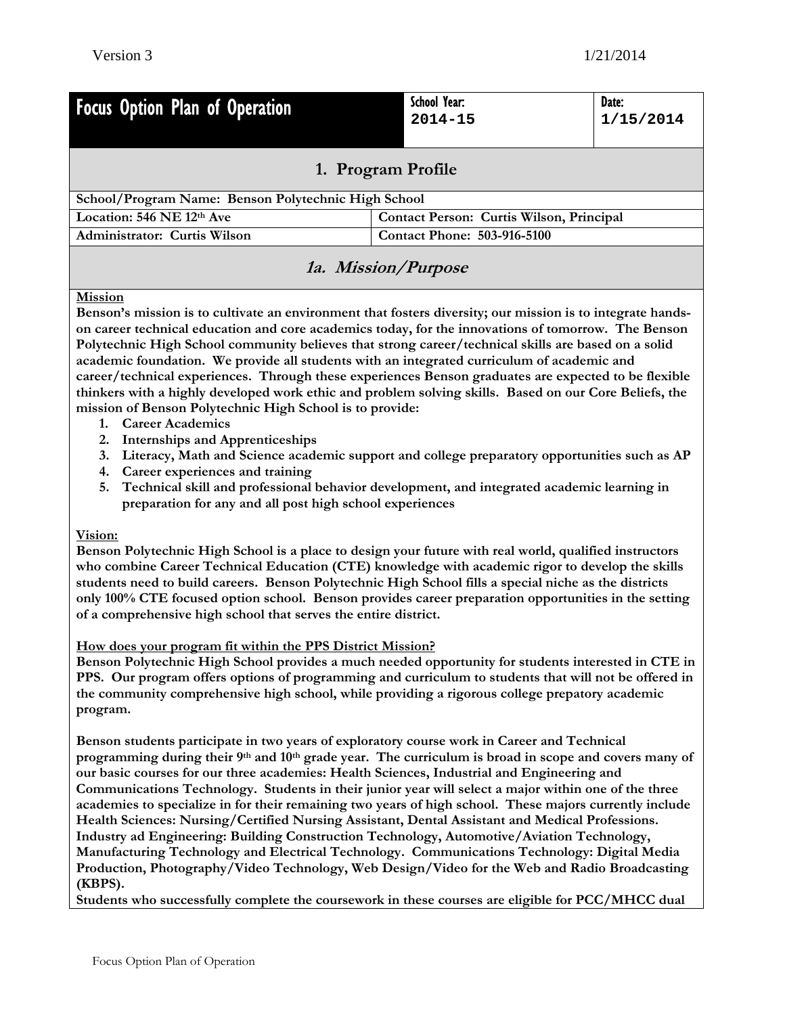| Focus Option Plan of Operation                                     | School Year:<br>$2014 - 15$              | Date:<br>1/15/2014 |  |  |  |  |  |  |  |
|--------------------------------------------------------------------|------------------------------------------|--------------------|--|--|--|--|--|--|--|
| 1. Program Profile                                                 |                                          |                    |  |  |  |  |  |  |  |
| School/Program Name: Benson Polytechnic High School                |                                          |                    |  |  |  |  |  |  |  |
| Location: 546 NE 12th Ave                                          | Contact Person: Curtis Wilson, Principal |                    |  |  |  |  |  |  |  |
| <b>Contact Phone: 503-916-5100</b><br>Administrator: Curtis Wilson |                                          |                    |  |  |  |  |  |  |  |
| <i>la. Mission/Purpose</i>                                         |                                          |                    |  |  |  |  |  |  |  |

#### **Mission**

**Benson's mission is to cultivate an environment that fosters diversity; our mission is to integrate handson career technical education and core academics today, for the innovations of tomorrow. The Benson Polytechnic High School community believes that strong career/technical skills are based on a solid academic foundation. We provide all students with an integrated curriculum of academic and career/technical experiences. Through these experiences Benson graduates are expected to be flexible thinkers with a highly developed work ethic and problem solving skills. Based on our Core Beliefs, the mission of Benson Polytechnic High School is to provide:** 

- **1. Career Academics**
- **2. Internships and Apprenticeships**
- **3. Literacy, Math and Science academic support and college preparatory opportunities such as AP**
- **4. Career experiences and training**
- **5. Technical skill and professional behavior development, and integrated academic learning in preparation for any and all post high school experiences**

#### **Vision:**

**Benson Polytechnic High School is a place to design your future with real world, qualified instructors who combine Career Technical Education (CTE) knowledge with academic rigor to develop the skills students need to build careers. Benson Polytechnic High School fills a special niche as the districts only 100% CTE focused option school. Benson provides career preparation opportunities in the setting of a comprehensive high school that serves the entire district.** 

#### **How does your program fit within the PPS District Mission?**

**Benson Polytechnic High School provides a much needed opportunity for students interested in CTE in PPS. Our program offers options of programming and curriculum to students that will not be offered in the community comprehensive high school, while providing a rigorous college prepatory academic program.** 

**Benson students participate in two years of exploratory course work in Career and Technical programming during their 9th and 10th grade year. The curriculum is broad in scope and covers many of our basic courses for our three academies: Health Sciences, Industrial and Engineering and Communications Technology. Students in their junior year will select a major within one of the three academies to specialize in for their remaining two years of high school. These majors currently include Health Sciences: Nursing/Certified Nursing Assistant, Dental Assistant and Medical Professions. Industry ad Engineering: Building Construction Technology, Automotive/Aviation Technology, Manufacturing Technology and Electrical Technology. Communications Technology: Digital Media Production, Photography/Video Technology, Web Design/Video for the Web and Radio Broadcasting (KBPS).** 

**Students who successfully complete the coursework in these courses are eligible for PCC/MHCC dual**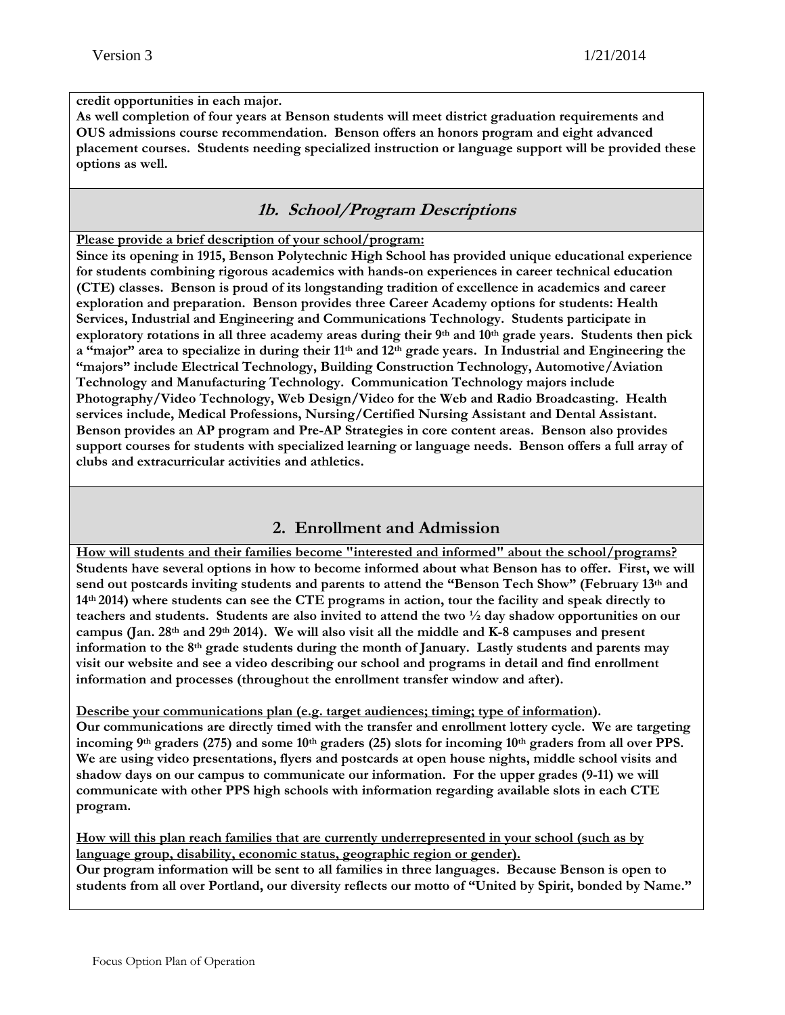#### **credit opportunities in each major.**

**As well completion of four years at Benson students will meet district graduation requirements and OUS admissions course recommendation. Benson offers an honors program and eight advanced placement courses. Students needing specialized instruction or language support will be provided these options as well.** 

#### **1b. School/Program Descriptions**

#### **Please provide a brief description of your school/program:**

**Since its opening in 1915, Benson Polytechnic High School has provided unique educational experience for students combining rigorous academics with hands-on experiences in career technical education (CTE) classes. Benson is proud of its longstanding tradition of excellence in academics and career exploration and preparation. Benson provides three Career Academy options for students: Health Services, Industrial and Engineering and Communications Technology. Students participate in exploratory rotations in all three academy areas during their 9th and 10th grade years. Students then pick a "major" area to specialize in during their 11th and 12th grade years. In Industrial and Engineering the "majors" include Electrical Technology, Building Construction Technology, Automotive/Aviation Technology and Manufacturing Technology. Communication Technology majors include Photography/Video Technology, Web Design/Video for the Web and Radio Broadcasting. Health services include, Medical Professions, Nursing/Certified Nursing Assistant and Dental Assistant. Benson provides an AP program and Pre-AP Strategies in core content areas. Benson also provides support courses for students with specialized learning or language needs. Benson offers a full array of clubs and extracurricular activities and athletics.** 

#### **2. Enrollment and Admission**

**How will students and their families become "interested and informed" about the school/programs? Students have several options in how to become informed about what Benson has to offer. First, we will send out postcards inviting students and parents to attend the "Benson Tech Show" (February 13th and 14th 2014) where students can see the CTE programs in action, tour the facility and speak directly to teachers and students. Students are also invited to attend the two ½ day shadow opportunities on our campus (Jan. 28th and 29th 2014). We will also visit all the middle and K-8 campuses and present information to the 8th grade students during the month of January. Lastly students and parents may visit our website and see a video describing our school and programs in detail and find enrollment information and processes (throughout the enrollment transfer window and after).** 

**Describe your communications plan (e.g. target audiences; timing; type of information). Our communications are directly timed with the transfer and enrollment lottery cycle. We are targeting**  incoming 9<sup>th</sup> graders (275) and some 10<sup>th</sup> graders (25) slots for incoming 10<sup>th</sup> graders from all over PPS. **We are using video presentations, flyers and postcards at open house nights, middle school visits and shadow days on our campus to communicate our information. For the upper grades (9-11) we will communicate with other PPS high schools with information regarding available slots in each CTE program.** 

**How will this plan reach families that are currently underrepresented in your school (such as by language group, disability, economic status, geographic region or gender).** 

**Our program information will be sent to all families in three languages. Because Benson is open to students from all over Portland, our diversity reflects our motto of "United by Spirit, bonded by Name."**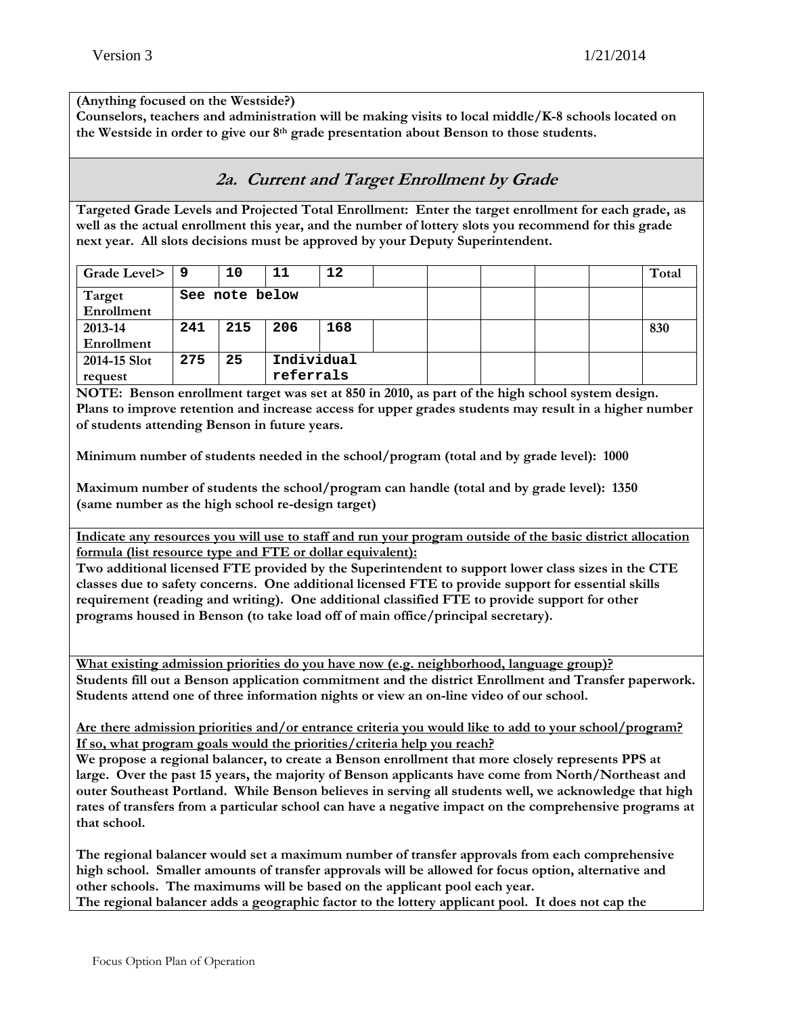#### **(Anything focused on the Westside?)**

**Counselors, teachers and administration will be making visits to local middle/K-8 schools located on the Westside in order to give our 8th grade presentation about Benson to those students.** 

### **2a. Current and Target Enrollment by Grade**

**Targeted Grade Levels and Projected Total Enrollment: Enter the target enrollment for each grade, as well as the actual enrollment this year, and the number of lottery slots you recommend for this grade next year. All slots decisions must be approved by your Deputy Superintendent.** 

| Grade Level> | و ، | 10             | 11        | 12         |  |  |  | Total |
|--------------|-----|----------------|-----------|------------|--|--|--|-------|
| Target       |     | See note below |           |            |  |  |  |       |
| Enrollment   |     |                |           |            |  |  |  |       |
| 2013-14      | 241 | 215            | 206       | 168        |  |  |  | 830   |
| Enrollment   |     |                |           |            |  |  |  |       |
| 2014-15 Slot | 275 | 25             |           | Individual |  |  |  |       |
| request      |     |                | referrals |            |  |  |  |       |

**NOTE: Benson enrollment target was set at 850 in 2010, as part of the high school system design. Plans to improve retention and increase access for upper grades students may result in a higher number of students attending Benson in future years.** 

**Minimum number of students needed in the school/program (total and by grade level): 1000** 

**Maximum number of students the school/program can handle (total and by grade level): 1350 (same number as the high school re-design target)** 

**Indicate any resources you will use to staff and run your program outside of the basic district allocation formula (list resource type and FTE or dollar equivalent):** 

**Two additional licensed FTE provided by the Superintendent to support lower class sizes in the CTE classes due to safety concerns. One additional licensed FTE to provide support for essential skills requirement (reading and writing). One additional classified FTE to provide support for other programs housed in Benson (to take load off of main office/principal secretary).** 

**What existing admission priorities do you have now (e.g. neighborhood, language group)? Students fill out a Benson application commitment and the district Enrollment and Transfer paperwork. Students attend one of three information nights or view an on-line video of our school.** 

**Are there admission priorities and/or entrance criteria you would like to add to your school/program? If so, what program goals would the priorities/criteria help you reach?** 

**We propose a regional balancer, to create a Benson enrollment that more closely represents PPS at large. Over the past 15 years, the majority of Benson applicants have come from North/Northeast and outer Southeast Portland. While Benson believes in serving all students well, we acknowledge that high rates of transfers from a particular school can have a negative impact on the comprehensive programs at that school.** 

**The regional balancer would set a maximum number of transfer approvals from each comprehensive high school. Smaller amounts of transfer approvals will be allowed for focus option, alternative and other schools. The maximums will be based on the applicant pool each year. The regional balancer adds a geographic factor to the lottery applicant pool. It does not cap the**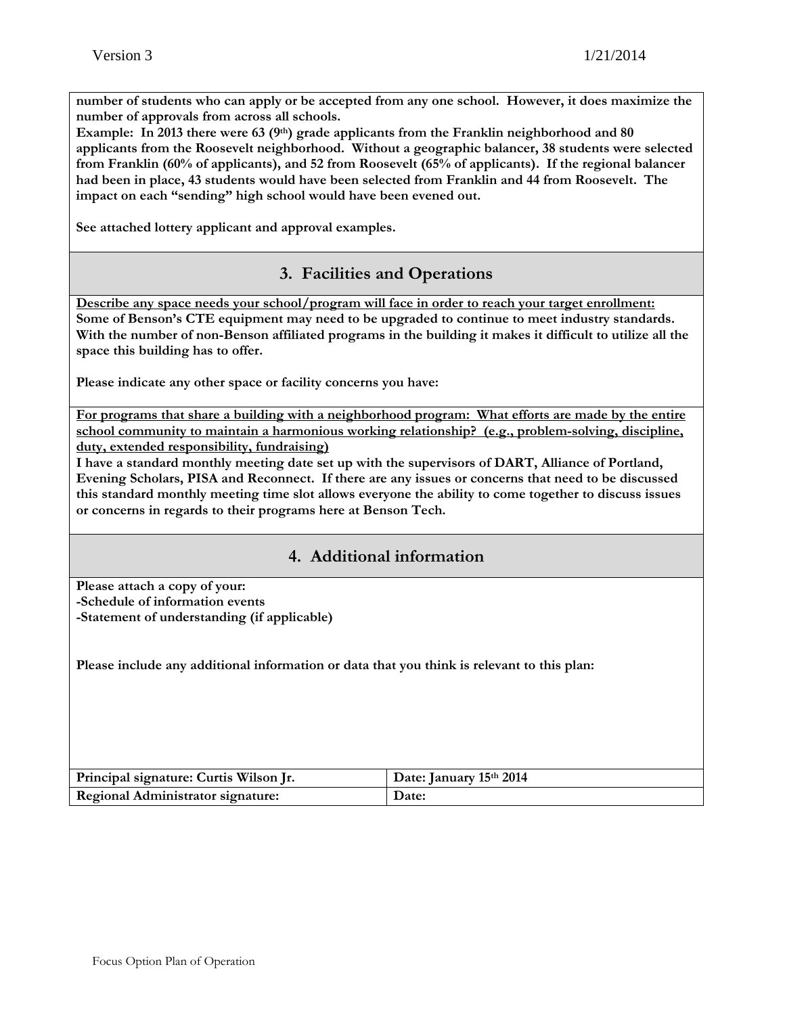**number of students who can apply or be accepted from any one school. However, it does maximize the number of approvals from across all schools.** 

**Example:** In 2013 there were 63 (9<sup>th</sup>) grade applicants from the Franklin neighborhood and 80 **applicants from the Roosevelt neighborhood. Without a geographic balancer, 38 students were selected from Franklin (60% of applicants), and 52 from Roosevelt (65% of applicants). If the regional balancer had been in place, 43 students would have been selected from Franklin and 44 from Roosevelt. The impact on each "sending" high school would have been evened out.** 

**See attached lottery applicant and approval examples.** 

#### **3. Facilities and Operations**

**Describe any space needs your school/program will face in order to reach your target enrollment: Some of Benson's CTE equipment may need to be upgraded to continue to meet industry standards. With the number of non-Benson affiliated programs in the building it makes it difficult to utilize all the space this building has to offer.** 

**Please indicate any other space or facility concerns you have:** 

**For programs that share a building with a neighborhood program: What efforts are made by the entire school community to maintain a harmonious working relationship? (e.g., problem-solving, discipline, duty, extended responsibility, fundraising)** 

**I have a standard monthly meeting date set up with the supervisors of DART, Alliance of Portland, Evening Scholars, PISA and Reconnect. If there are any issues or concerns that need to be discussed this standard monthly meeting time slot allows everyone the ability to come together to discuss issues or concerns in regards to their programs here at Benson Tech.** 

#### **4. Additional information**

**Please attach a copy of your: -Schedule of information events -Statement of understanding (if applicable)** 

**Please include any additional information or data that you think is relevant to this plan:** 

| Principal signature: Curtis Wilson Jr. | Date: January 15th 2014 |
|----------------------------------------|-------------------------|
| Regional Administrator signature:      | Date:                   |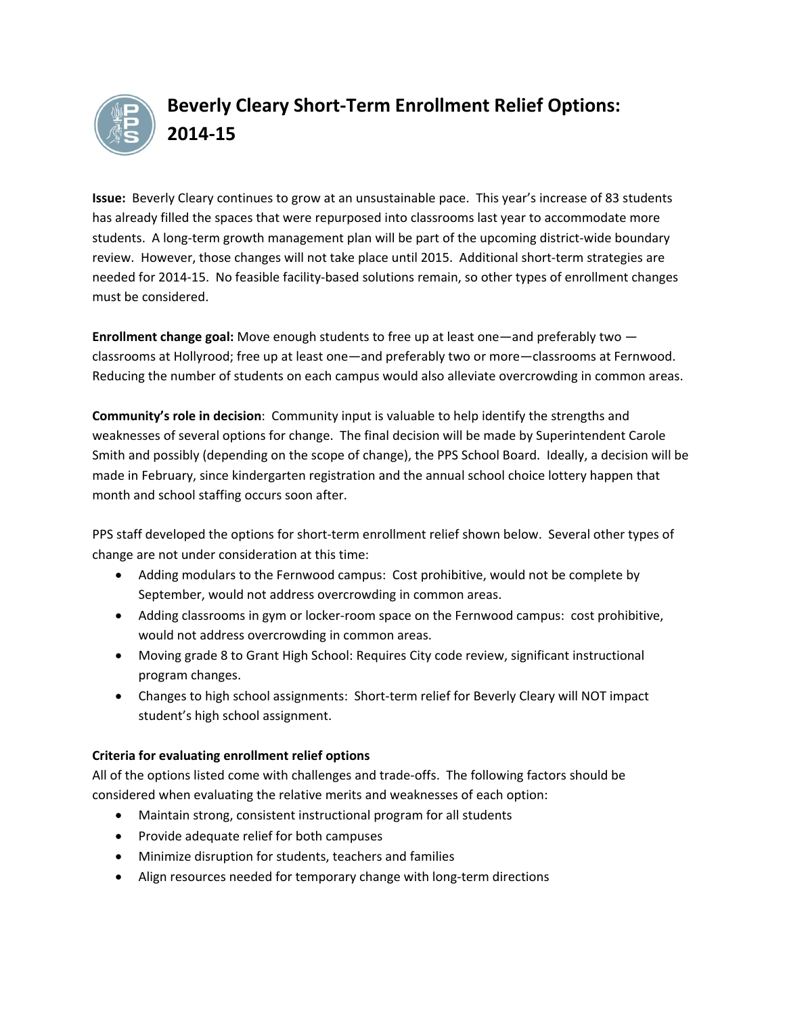

### **Beverly Cleary Short‐Term Enrollment Relief Options: 2014‐15**

**Issue:** Beverly Cleary continues to grow at an unsustainable pace. This year's increase of 83 students has already filled the spaces that were repurposed into classrooms last year to accommodate more students. A long-term growth management plan will be part of the upcoming district-wide boundary review. However, those changes will not take place until 2015. Additional short-term strategies are needed for 2014‐15. No feasible facility‐based solutions remain, so other types of enrollment changes must be considered.

**Enrollment change goal:** Move enough students to free up at least one—and preferably two classrooms at Hollyrood; free up at least one—and preferably two or more—classrooms at Fernwood. Reducing the number of students on each campus would also alleviate overcrowding in common areas.

**Community's role in decision**: Community input is valuable to help identify the strengths and weaknesses of several options for change. The final decision will be made by Superintendent Carole Smith and possibly (depending on the scope of change), the PPS School Board. Ideally, a decision will be made in February, since kindergarten registration and the annual school choice lottery happen that month and school staffing occurs soon after.

PPS staff developed the options for short-term enrollment relief shown below. Several other types of change are not under consideration at this time:

- Adding modulars to the Fernwood campus: Cost prohibitive, would not be complete by September, would not address overcrowding in common areas.
- Adding classrooms in gym or locker-room space on the Fernwood campus: cost prohibitive, would not address overcrowding in common areas.
- Moving grade 8 to Grant High School: Requires City code review, significant instructional program changes.
- Changes to high school assignments: Short-term relief for Beverly Cleary will NOT impact student's high school assignment.

#### **Criteria for evaluating enrollment relief options**

All of the options listed come with challenges and trade‐offs. The following factors should be considered when evaluating the relative merits and weaknesses of each option:

- Maintain strong, consistent instructional program for all students
- Provide adequate relief for both campuses
- Minimize disruption for students, teachers and families
- Align resources needed for temporary change with long‐term directions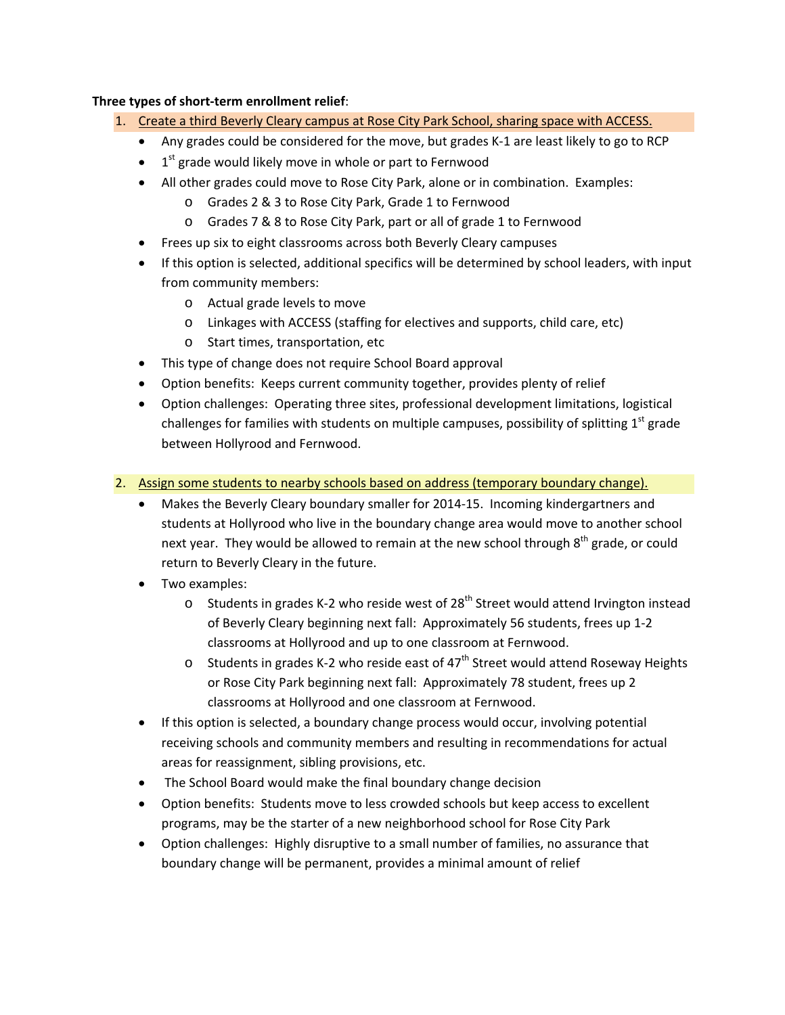#### **Three types of short‐term enrollment relief**:

- 1. Create a third Beverly Cleary campus at Rose City Park School, sharing space with ACCESS.
	- Any grades could be considered for the move, but grades K-1 are least likely to go to RCP
	- $\bullet$  1<sup>st</sup> grade would likely move in whole or part to Fernwood
	- All other grades could move to Rose City Park, alone or in combination. Examples:
		- o Grades 2 & 3 to Rose City Park, Grade 1 to Fernwood
		- o Grades 7 & 8 to Rose City Park, part or all of grade 1 to Fernwood
	- Frees up six to eight classrooms across both Beverly Cleary campuses
	- If this option is selected, additional specifics will be determined by school leaders, with input from community members:
		- o Actual grade levels to move
		- o Linkages with ACCESS (staffing for electives and supports, child care, etc)
		- o Start times, transportation, etc
	- This type of change does not require School Board approval
	- Option benefits: Keeps current community together, provides plenty of relief
	- Option challenges: Operating three sites, professional development limitations, logistical challenges for families with students on multiple campuses, possibility of splitting  $1<sup>st</sup>$  grade between Hollyrood and Fernwood.
- 2. Assign some students to nearby schools based on address (temporary boundary change).
	- Makes the Beverly Cleary boundary smaller for 2014‐15. Incoming kindergartners and students at Hollyrood who live in the boundary change area would move to another school next year. They would be allowed to remain at the new school through  $8<sup>th</sup>$  grade, or could return to Beverly Cleary in the future.
	- Two examples:
		- o Students in grades K-2 who reside west of 28<sup>th</sup> Street would attend Irvington instead of Beverly Cleary beginning next fall: Approximately 56 students, frees up 1‐2 classrooms at Hollyrood and up to one classroom at Fernwood.
		- o Students in grades K-2 who reside east of  $47<sup>th</sup>$  Street would attend Roseway Heights or Rose City Park beginning next fall: Approximately 78 student, frees up 2 classrooms at Hollyrood and one classroom at Fernwood.
	- If this option is selected, a boundary change process would occur, involving potential receiving schools and community members and resulting in recommendations for actual areas for reassignment, sibling provisions, etc.
	- The School Board would make the final boundary change decision
	- Option benefits: Students move to less crowded schools but keep access to excellent programs, may be the starter of a new neighborhood school for Rose City Park
	- Option challenges: Highly disruptive to a small number of families, no assurance that boundary change will be permanent, provides a minimal amount of relief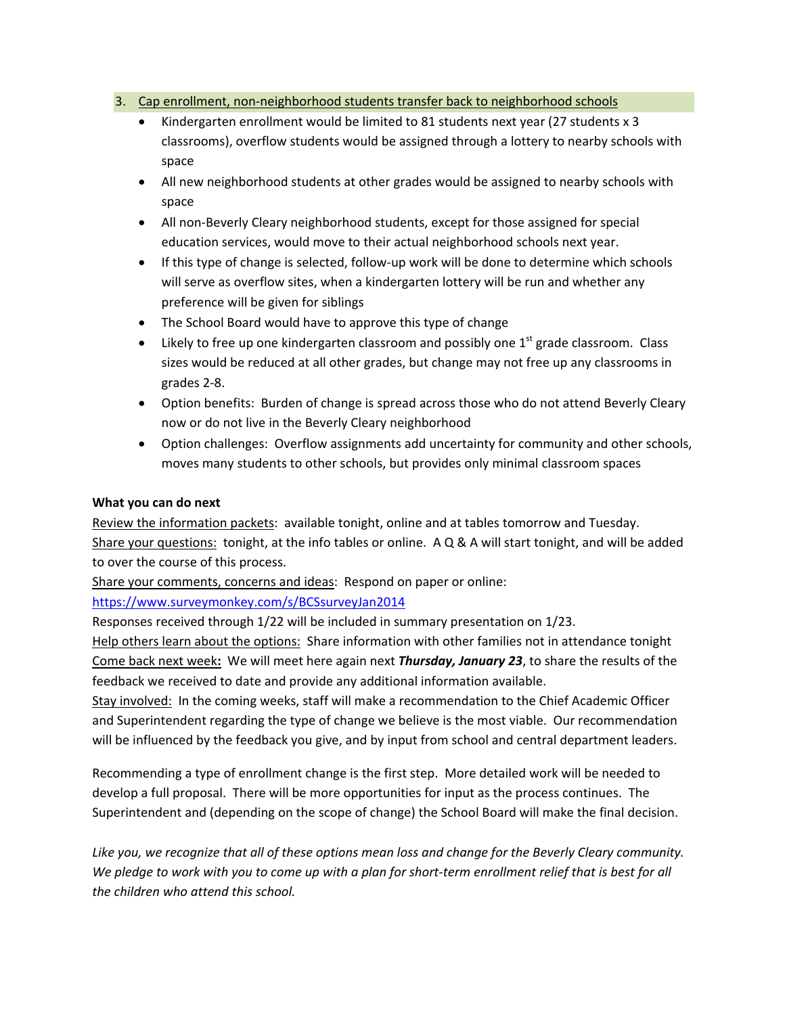#### 3. Cap enrollment, non-neighborhood students transfer back to neighborhood schools

- Kindergarten enrollment would be limited to 81 students next year (27 students x 3 classrooms), overflow students would be assigned through a lottery to nearby schools with space
- All new neighborhood students at other grades would be assigned to nearby schools with space
- All non-Beverly Cleary neighborhood students, except for those assigned for special education services, would move to their actual neighborhood schools next year.
- If this type of change is selected, follow-up work will be done to determine which schools will serve as overflow sites, when a kindergarten lottery will be run and whether any preference will be given for siblings
- The School Board would have to approve this type of change
- Likely to free up one kindergarten classroom and possibly one  $1<sup>st</sup>$  grade classroom. Class sizes would be reduced at all other grades, but change may not free up any classrooms in grades 2‐8.
- Option benefits: Burden of change is spread across those who do not attend Beverly Cleary now or do not live in the Beverly Cleary neighborhood
- Option challenges: Overflow assignments add uncertainty for community and other schools, moves many students to other schools, but provides only minimal classroom spaces

#### **What you can do next**

Review the information packets: available tonight, online and at tables tomorrow and Tuesday. Share your questions: tonight, at the info tables or online. A Q & A will start tonight, and will be added to over the course of this process.

Share your comments, concerns and ideas: Respond on paper or online:

#### https://www.surveymonkey.com/s/BCSsurveyJan2014

Responses received through 1/22 will be included in summary presentation on 1/23.

Help others learn about the options:Share information with other families not in attendance tonight Come back next week**:** We will meet here again next *Thursday, January 23*, to share the results of the feedback we received to date and provide any additional information available.

Stay involved: In the coming weeks, staff will make a recommendation to the Chief Academic Officer and Superintendent regarding the type of change we believe is the most viable. Our recommendation will be influenced by the feedback you give, and by input from school and central department leaders.

Recommending a type of enrollment change is the first step. More detailed work will be needed to develop a full proposal. There will be more opportunities for input as the process continues. The Superintendent and (depending on the scope of change) the School Board will make the final decision.

Like you, we recognize that all of these options mean loss and change for the Beverly Cleary community. We pledge to work with you to come up with a plan for short-term enrollment relief that is best for all *the children who attend this school.*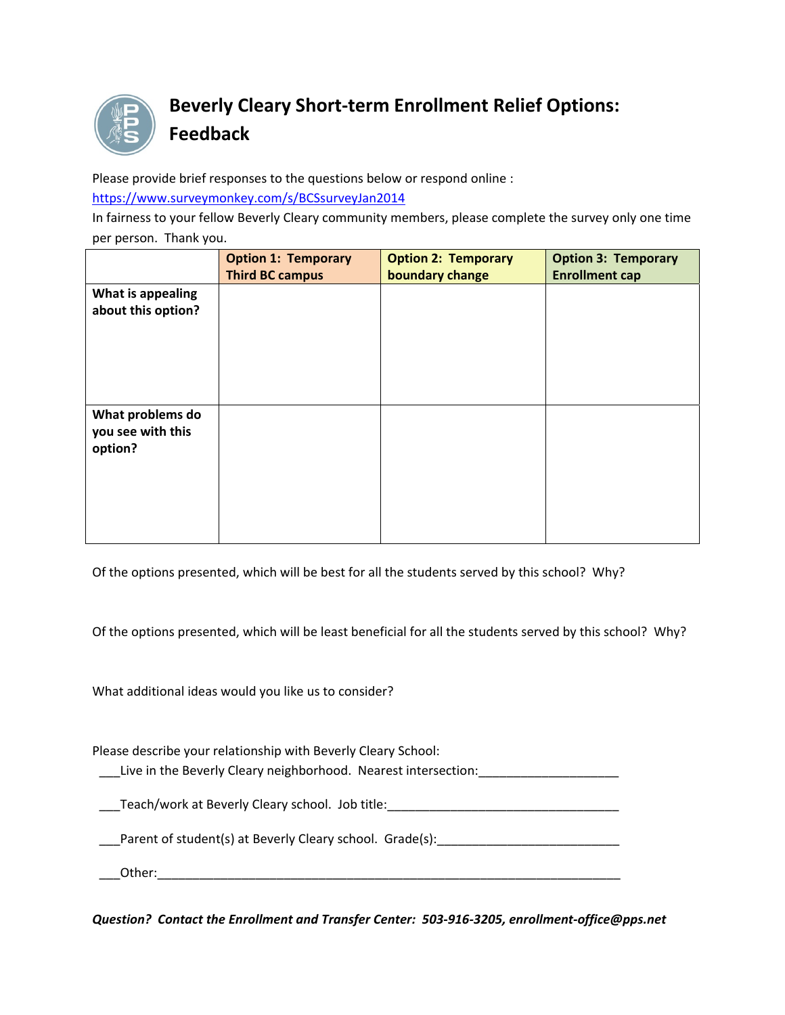

### **Beverly Cleary Short‐term Enrollment Relief Options: Feedback**

Please provide brief responses to the questions below or respond online :

https://www.surveymonkey.com/s/BCSsurveyJan2014

In fairness to your fellow Beverly Cleary community members, please complete the survey only one time per person. Thank you.

|                                                  | <b>Option 1: Temporary</b><br><b>Third BC campus</b> | <b>Option 2: Temporary</b><br>boundary change | <b>Option 3: Temporary</b><br><b>Enrollment cap</b> |
|--------------------------------------------------|------------------------------------------------------|-----------------------------------------------|-----------------------------------------------------|
| What is appealing<br>about this option?          |                                                      |                                               |                                                     |
| What problems do<br>you see with this<br>option? |                                                      |                                               |                                                     |

Of the options presented, which will be best for all the students served by this school? Why?

Of the options presented, which will be least beneficial for all the students served by this school? Why?

What additional ideas would you like us to consider?

Please describe your relationship with Beverly Cleary School:

Live in the Beverly Cleary neighborhood. Nearest intersection:

\_\_\_Teach/work at Beverly Cleary school. Job title:\_\_\_\_\_\_\_\_\_\_\_\_\_\_\_\_\_\_\_\_\_\_\_\_\_\_\_\_\_\_\_\_\_

Parent of student(s) at Beverly Cleary school. Grade(s):

\_\_\_Other:\_\_\_\_\_\_\_\_\_\_\_\_\_\_\_\_\_\_\_\_\_\_\_\_\_\_\_\_\_\_\_\_\_\_\_\_\_\_\_\_\_\_\_\_\_\_\_\_\_\_\_\_\_\_\_\_\_\_\_\_\_\_\_\_\_\_

*Question? Contact the Enrollment and Transfer Center: 503‐916‐3205, enrollment‐office@pps.net*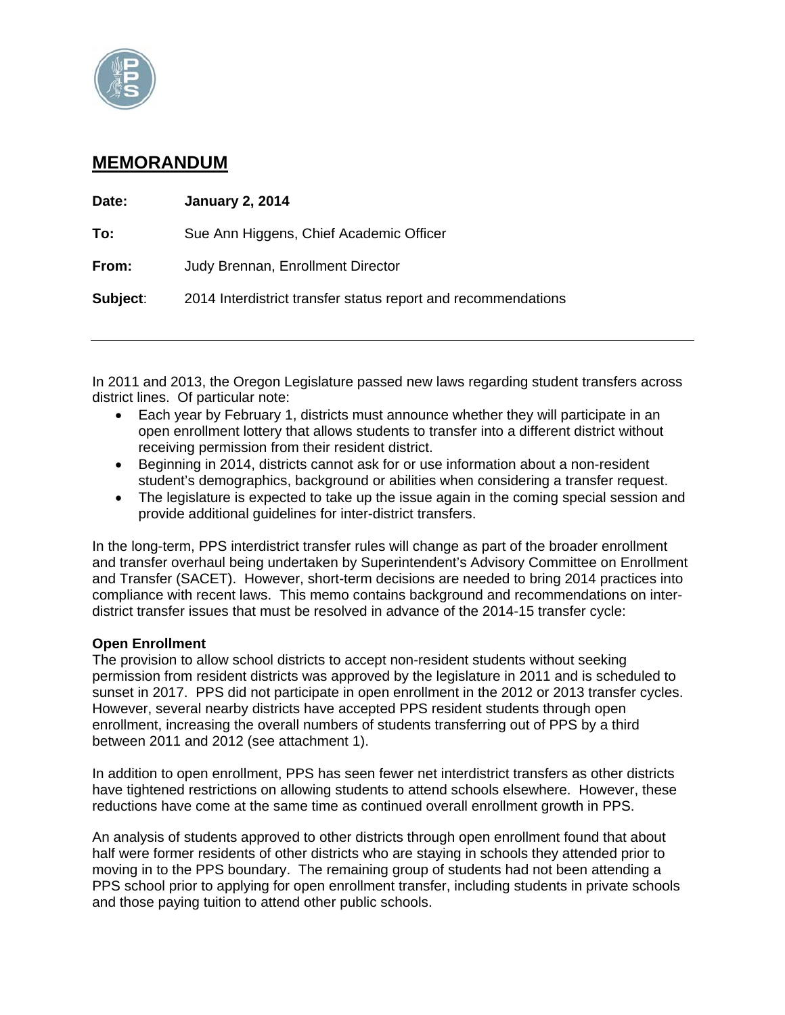

#### **MEMORANDUM**

| Date:    | <b>January 2, 2014</b>                                        |
|----------|---------------------------------------------------------------|
| To:      | Sue Ann Higgens, Chief Academic Officer                       |
| From:    | Judy Brennan, Enrollment Director                             |
| Subject: | 2014 Interdistrict transfer status report and recommendations |
|          |                                                               |

In 2011 and 2013, the Oregon Legislature passed new laws regarding student transfers across district lines. Of particular note:

- Each year by February 1, districts must announce whether they will participate in an open enrollment lottery that allows students to transfer into a different district without receiving permission from their resident district.
- Beginning in 2014, districts cannot ask for or use information about a non-resident student's demographics, background or abilities when considering a transfer request.
- The legislature is expected to take up the issue again in the coming special session and provide additional guidelines for inter-district transfers.

In the long-term, PPS interdistrict transfer rules will change as part of the broader enrollment and transfer overhaul being undertaken by Superintendent's Advisory Committee on Enrollment and Transfer (SACET). However, short-term decisions are needed to bring 2014 practices into compliance with recent laws. This memo contains background and recommendations on interdistrict transfer issues that must be resolved in advance of the 2014-15 transfer cycle:

#### **Open Enrollment**

The provision to allow school districts to accept non-resident students without seeking permission from resident districts was approved by the legislature in 2011 and is scheduled to sunset in 2017. PPS did not participate in open enrollment in the 2012 or 2013 transfer cycles. However, several nearby districts have accepted PPS resident students through open enrollment, increasing the overall numbers of students transferring out of PPS by a third between 2011 and 2012 (see attachment 1).

In addition to open enrollment, PPS has seen fewer net interdistrict transfers as other districts have tightened restrictions on allowing students to attend schools elsewhere. However, these reductions have come at the same time as continued overall enrollment growth in PPS.

An analysis of students approved to other districts through open enrollment found that about half were former residents of other districts who are staying in schools they attended prior to moving in to the PPS boundary. The remaining group of students had not been attending a PPS school prior to applying for open enrollment transfer, including students in private schools and those paying tuition to attend other public schools.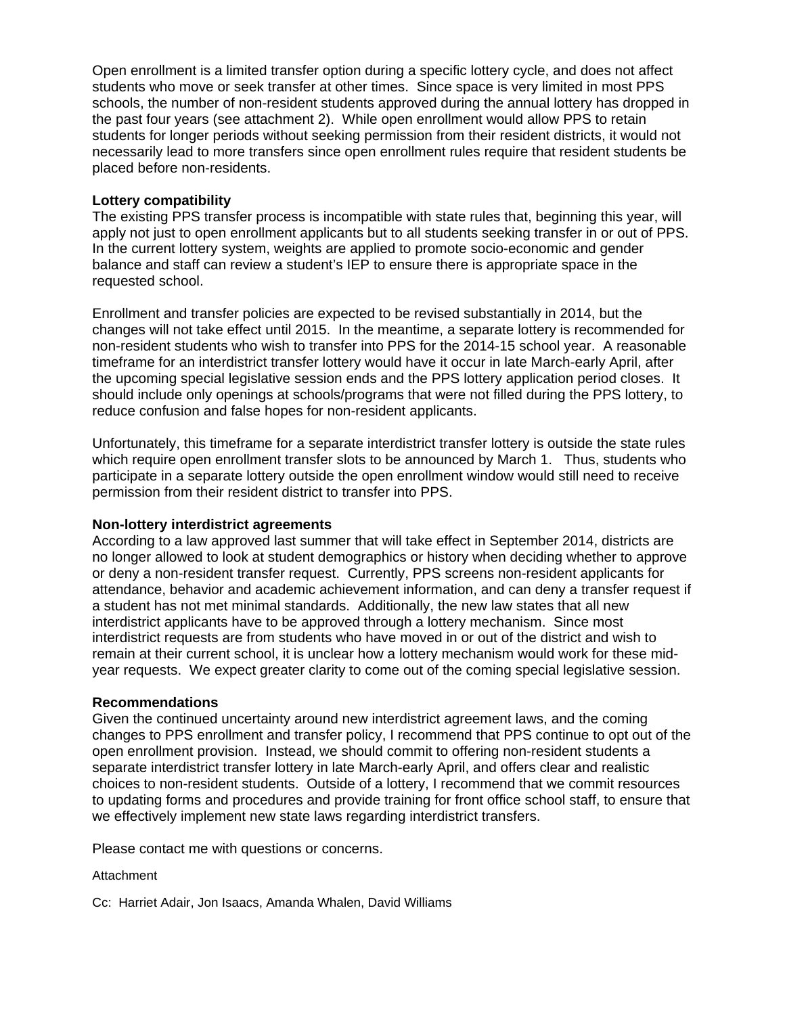Open enrollment is a limited transfer option during a specific lottery cycle, and does not affect students who move or seek transfer at other times. Since space is very limited in most PPS schools, the number of non-resident students approved during the annual lottery has dropped in the past four years (see attachment 2). While open enrollment would allow PPS to retain students for longer periods without seeking permission from their resident districts, it would not necessarily lead to more transfers since open enrollment rules require that resident students be placed before non-residents.

#### **Lottery compatibility**

The existing PPS transfer process is incompatible with state rules that, beginning this year, will apply not just to open enrollment applicants but to all students seeking transfer in or out of PPS. In the current lottery system, weights are applied to promote socio-economic and gender balance and staff can review a student's IEP to ensure there is appropriate space in the requested school.

Enrollment and transfer policies are expected to be revised substantially in 2014, but the changes will not take effect until 2015. In the meantime, a separate lottery is recommended for non-resident students who wish to transfer into PPS for the 2014-15 school year. A reasonable timeframe for an interdistrict transfer lottery would have it occur in late March-early April, after the upcoming special legislative session ends and the PPS lottery application period closes. It should include only openings at schools/programs that were not filled during the PPS lottery, to reduce confusion and false hopes for non-resident applicants.

Unfortunately, this timeframe for a separate interdistrict transfer lottery is outside the state rules which require open enrollment transfer slots to be announced by March 1. Thus, students who participate in a separate lottery outside the open enrollment window would still need to receive permission from their resident district to transfer into PPS.

#### **Non-lottery interdistrict agreements**

According to a law approved last summer that will take effect in September 2014, districts are no longer allowed to look at student demographics or history when deciding whether to approve or deny a non-resident transfer request. Currently, PPS screens non-resident applicants for attendance, behavior and academic achievement information, and can deny a transfer request if a student has not met minimal standards. Additionally, the new law states that all new interdistrict applicants have to be approved through a lottery mechanism. Since most interdistrict requests are from students who have moved in or out of the district and wish to remain at their current school, it is unclear how a lottery mechanism would work for these midyear requests. We expect greater clarity to come out of the coming special legislative session.

#### **Recommendations**

Given the continued uncertainty around new interdistrict agreement laws, and the coming changes to PPS enrollment and transfer policy, I recommend that PPS continue to opt out of the open enrollment provision. Instead, we should commit to offering non-resident students a separate interdistrict transfer lottery in late March-early April, and offers clear and realistic choices to non-resident students. Outside of a lottery, I recommend that we commit resources to updating forms and procedures and provide training for front office school staff, to ensure that we effectively implement new state laws regarding interdistrict transfers.

Please contact me with questions or concerns.

#### Attachment

Cc: Harriet Adair, Jon Isaacs, Amanda Whalen, David Williams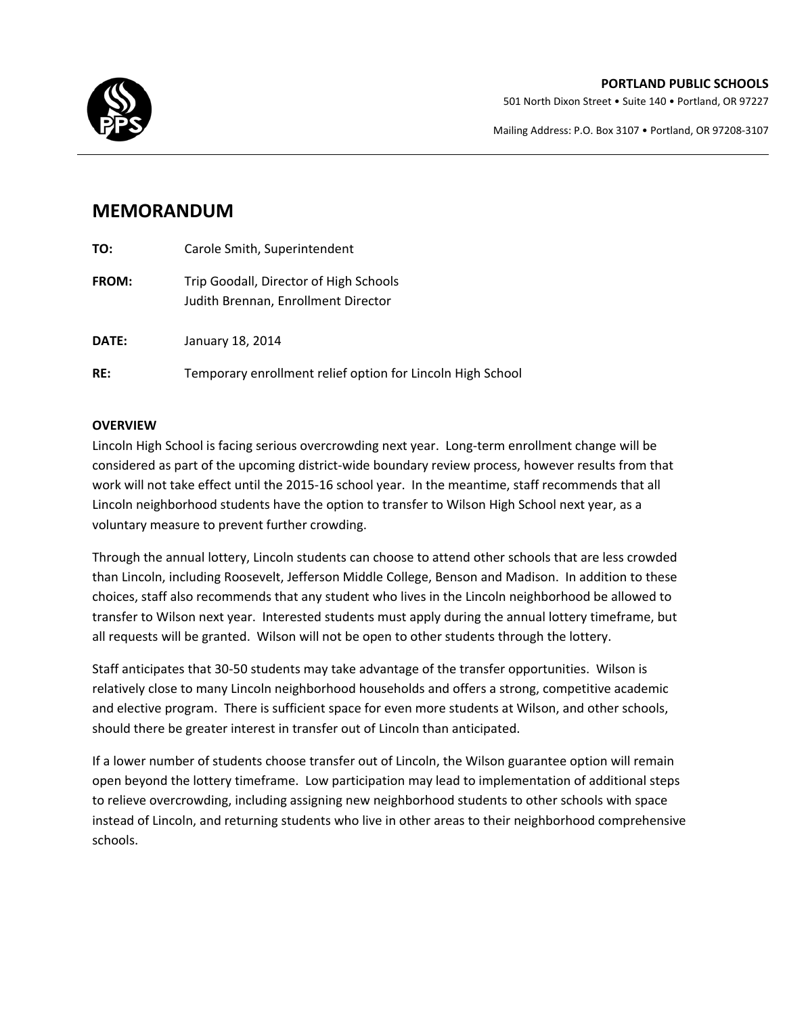#### **PORTLAND PUBLIC SCHOOLS**

501 North Dixon Street • Suite 140 • Portland, OR 97227

Mailing Address: P.O. Box 3107 • Portland, OR 97208‐3107



### **MEMORANDUM**

| TO:          | Carole Smith, Superintendent                                                  |
|--------------|-------------------------------------------------------------------------------|
| <b>FROM:</b> | Trip Goodall, Director of High Schools<br>Judith Brennan, Enrollment Director |
| DATE:        | January 18, 2014                                                              |
| RE:          | Temporary enrollment relief option for Lincoln High School                    |

#### **OVERVIEW**

Lincoln High School is facing serious overcrowding next year. Long-term enrollment change will be considered as part of the upcoming district‐wide boundary review process, however results from that work will not take effect until the 2015-16 school year. In the meantime, staff recommends that all Lincoln neighborhood students have the option to transfer to Wilson High School next year, as a voluntary measure to prevent further crowding.

Through the annual lottery, Lincoln students can choose to attend other schools that are less crowded than Lincoln, including Roosevelt, Jefferson Middle College, Benson and Madison. In addition to these choices, staff also recommends that any student who lives in the Lincoln neighborhood be allowed to transfer to Wilson next year. Interested students must apply during the annual lottery timeframe, but all requests will be granted. Wilson will not be open to other students through the lottery.

Staff anticipates that 30‐50 students may take advantage of the transfer opportunities. Wilson is relatively close to many Lincoln neighborhood households and offers a strong, competitive academic and elective program. There is sufficient space for even more students at Wilson, and other schools, should there be greater interest in transfer out of Lincoln than anticipated.

If a lower number of students choose transfer out of Lincoln, the Wilson guarantee option will remain open beyond the lottery timeframe. Low participation may lead to implementation of additional steps to relieve overcrowding, including assigning new neighborhood students to other schools with space instead of Lincoln, and returning students who live in other areas to their neighborhood comprehensive schools.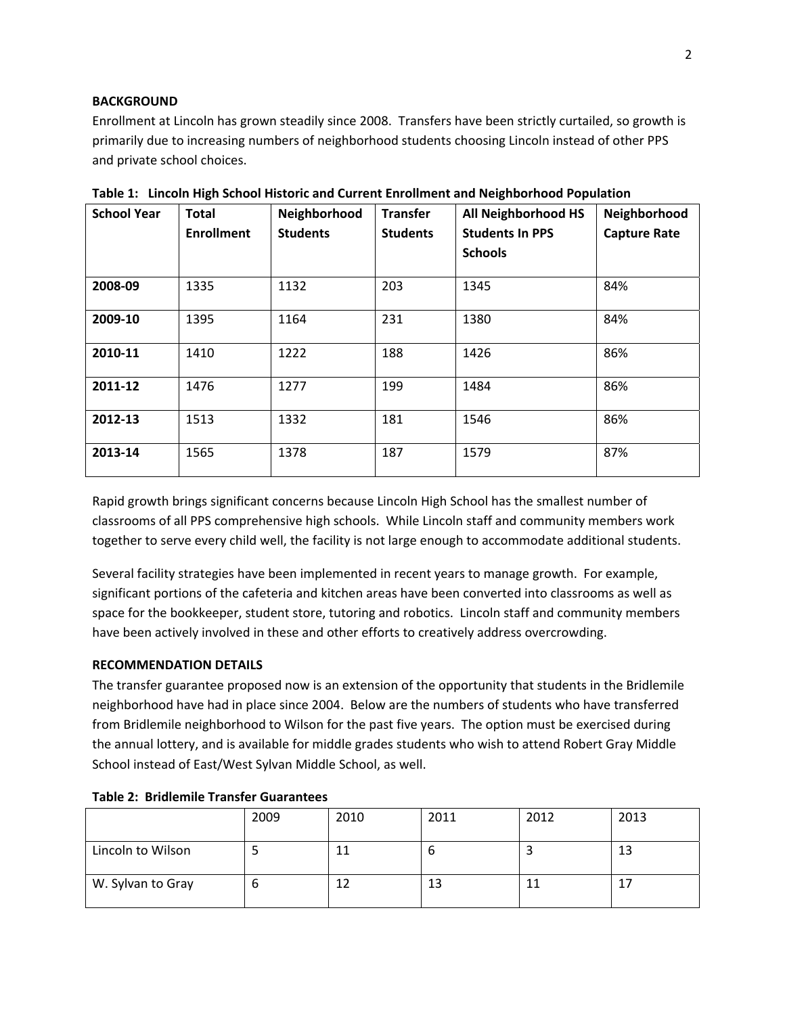#### **BACKGROUND**

Enrollment at Lincoln has grown steadily since 2008. Transfers have been strictly curtailed, so growth is primarily due to increasing numbers of neighborhood students choosing Lincoln instead of other PPS and private school choices.

| <b>School Year</b> | <b>Total</b><br><b>Enrollment</b> | Neighborhood<br><b>Students</b> | <b>Transfer</b><br><b>Students</b> | All Neighborhood HS<br><b>Students In PPS</b><br><b>Schools</b> | Neighborhood<br><b>Capture Rate</b> |
|--------------------|-----------------------------------|---------------------------------|------------------------------------|-----------------------------------------------------------------|-------------------------------------|
| 2008-09            | 1335                              | 1132                            | 203                                | 1345                                                            | 84%                                 |
| 2009-10            | 1395                              | 1164                            | 231                                | 1380                                                            | 84%                                 |
| 2010-11            | 1410                              | 1222                            | 188                                | 1426                                                            | 86%                                 |
| 2011-12            | 1476                              | 1277                            | 199                                | 1484                                                            | 86%                                 |
| 2012-13            | 1513                              | 1332                            | 181                                | 1546                                                            | 86%                                 |
| 2013-14            | 1565                              | 1378                            | 187                                | 1579                                                            | 87%                                 |

**Table 1: Lincoln High School Historic and Current Enrollment and Neighborhood Population**

Rapid growth brings significant concerns because Lincoln High School has the smallest number of classrooms of all PPS comprehensive high schools. While Lincoln staff and community members work together to serve every child well, the facility is not large enough to accommodate additional students.

Several facility strategies have been implemented in recent years to manage growth. For example, significant portions of the cafeteria and kitchen areas have been converted into classrooms as well as space for the bookkeeper, student store, tutoring and robotics. Lincoln staff and community members have been actively involved in these and other efforts to creatively address overcrowding.

#### **RECOMMENDATION DETAILS**

The transfer guarantee proposed now is an extension of the opportunity that students in the Bridlemile neighborhood have had in place since 2004. Below are the numbers of students who have transferred from Bridlemile neighborhood to Wilson for the past five years. The option must be exercised during the annual lottery, and is available for middle grades students who wish to attend Robert Gray Middle School instead of East/West Sylvan Middle School, as well.

|                   | 2009 | 2010 | 2011 | 2012 | 2013 |
|-------------------|------|------|------|------|------|
| Lincoln to Wilson |      |      | O    |      | 13   |
| W. Sylvan to Gray | O    |      | 13   | 11   |      |

#### **Table 2: Bridlemile Transfer Guarantees**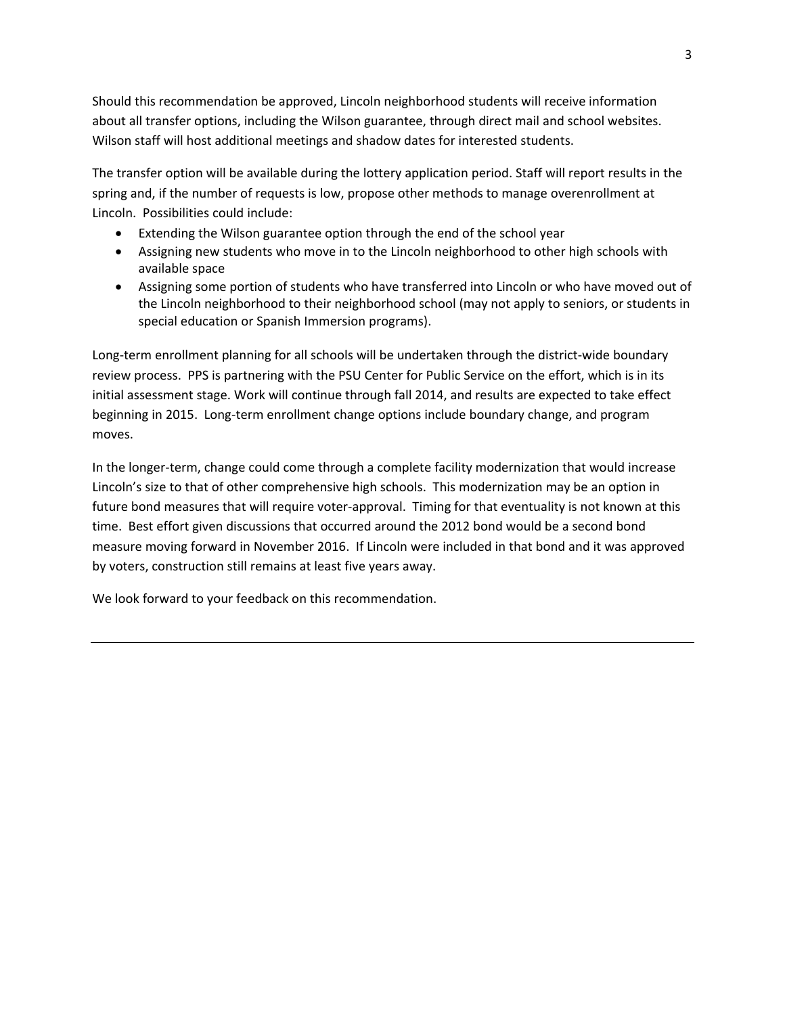Should this recommendation be approved, Lincoln neighborhood students will receive information about all transfer options, including the Wilson guarantee, through direct mail and school websites. Wilson staff will host additional meetings and shadow dates for interested students.

The transfer option will be available during the lottery application period. Staff will report results in the spring and, if the number of requests is low, propose other methods to manage overenrollment at Lincoln. Possibilities could include:

- Extending the Wilson guarantee option through the end of the school year
- Assigning new students who move in to the Lincoln neighborhood to other high schools with available space
- Assigning some portion of students who have transferred into Lincoln or who have moved out of the Lincoln neighborhood to their neighborhood school (may not apply to seniors, or students in special education or Spanish Immersion programs).

Long-term enrollment planning for all schools will be undertaken through the district-wide boundary review process. PPS is partnering with the PSU Center for Public Service on the effort, which is in its initial assessment stage. Work will continue through fall 2014, and results are expected to take effect beginning in 2015. Long‐term enrollment change options include boundary change, and program moves.

In the longer-term, change could come through a complete facility modernization that would increase Lincoln's size to that of other comprehensive high schools. This modernization may be an option in future bond measures that will require voter-approval. Timing for that eventuality is not known at this time. Best effort given discussions that occurred around the 2012 bond would be a second bond measure moving forward in November 2016. If Lincoln were included in that bond and it was approved by voters, construction still remains at least five years away.

We look forward to your feedback on this recommendation.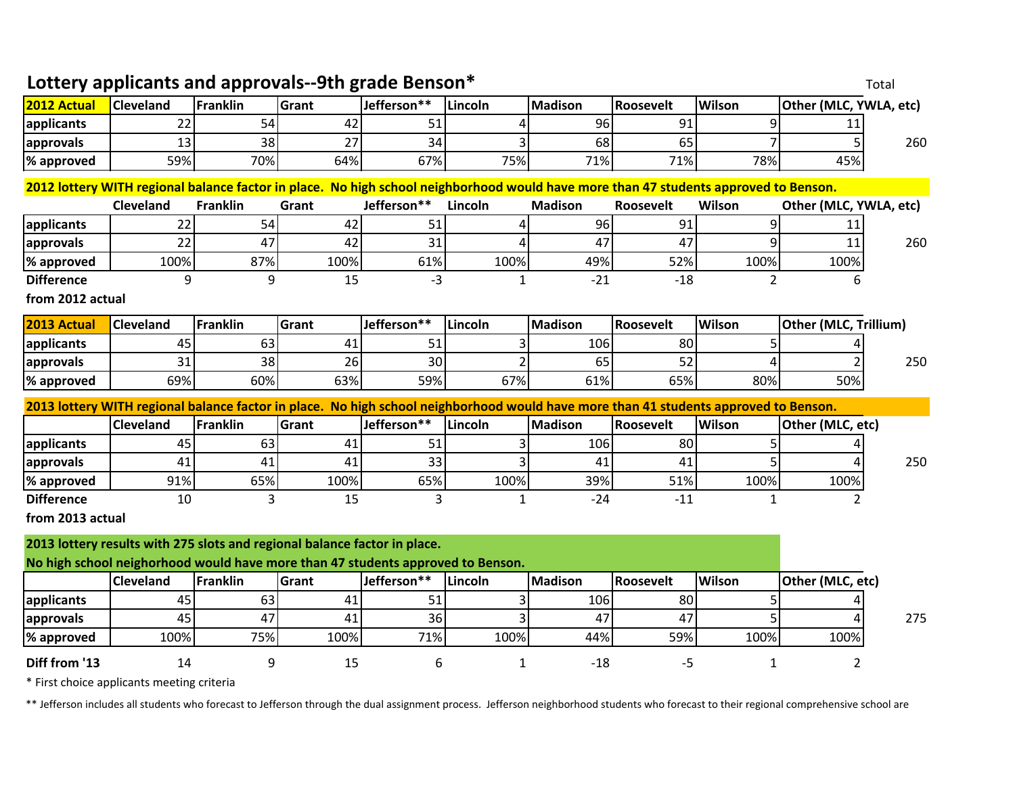|                                                                                                                                      | Lottery applicants and approvals--9th grade Benson*<br>Total                                                                         |                 |       |             |              |                |           |                |                        |     |
|--------------------------------------------------------------------------------------------------------------------------------------|--------------------------------------------------------------------------------------------------------------------------------------|-----------------|-------|-------------|--------------|----------------|-----------|----------------|------------------------|-----|
| 2012 Actual                                                                                                                          | <b>Cleveland</b>                                                                                                                     | Franklin        | Grant | Jefferson** | Lincoln      | <b>Madison</b> | Roosevelt | <b>Wilson</b>  | Other (MLC, YWLA, etc) |     |
| applicants                                                                                                                           | 22                                                                                                                                   | 54              | 42    | 51          |              | 96             | 91        | 9              | 11                     |     |
| approvals                                                                                                                            | 13                                                                                                                                   | 38              | 27    | 34          |              | 68             | 65        | 7              | 5                      | 260 |
| % approved                                                                                                                           | 59%                                                                                                                                  | 70%             | 64%   | 67%         | 75%          | 71%            | 71%       | 78%            | 45%                    |     |
|                                                                                                                                      | 2012 lottery WITH regional balance factor in place. No high school neighborhood would have more than 47 students approved to Benson. |                 |       |             |              |                |           |                |                        |     |
|                                                                                                                                      | Cleveland                                                                                                                            | <b>Franklin</b> | Grant | Jefferson** | Lincoln      | <b>Madison</b> | Roosevelt | Wilson         | Other (MLC, YWLA, etc) |     |
| applicants                                                                                                                           | 22                                                                                                                                   | 54              | 42    | 51          |              | 96             | 91        | 9              | 11                     |     |
| approvals                                                                                                                            | 22                                                                                                                                   | 47              | 42    | 31          | 4            | 47             | 47        | 9              | 11                     | 260 |
| % approved                                                                                                                           | 100%                                                                                                                                 | 87%             | 100%  | 61%         | 100%         | 49%            | 52%       | 100%           | 100%                   |     |
| <b>Difference</b>                                                                                                                    | 9                                                                                                                                    | 9               | 15    | $-3$        | $\mathbf{1}$ | $-21$          | $-18$     | $\overline{2}$ | 6                      |     |
| from 2012 actual                                                                                                                     |                                                                                                                                      |                 |       |             |              |                |           |                |                        |     |
| 2013 Actual                                                                                                                          | Cleveland                                                                                                                            | <b>Franklin</b> | Grant | Jefferson** | Lincoln      | <b>Madison</b> | Roosevelt | Wilson         | Other (MLC, Trillium)  |     |
| applicants                                                                                                                           | 45                                                                                                                                   | 63              | 41    | 51          | 3            | 106            | 80        | 5              |                        |     |
| approvals                                                                                                                            | 31                                                                                                                                   | 38              | 26    | 30          |              | 65             | 52        | Δ              |                        | 250 |
| % approved                                                                                                                           | 69%                                                                                                                                  | 60%             | 63%   | 59%         | 67%          | 61%            | 65%       | 80%            | 50%                    |     |
| 2013 lottery WITH regional balance factor in place. No high school neighborhood would have more than 41 students approved to Benson. |                                                                                                                                      |                 |       |             |              |                |           |                |                        |     |
|                                                                                                                                      | <b>Cleveland</b>                                                                                                                     | <b>Franklin</b> | Grant | Jefferson** | Lincoln      | <b>Madison</b> | Roosevelt | Wilson         | Other (MLC, etc)       |     |
| applicants                                                                                                                           | 45                                                                                                                                   | 63              | 41    | 51          |              | 106            | 80        | 5              |                        |     |
| approvals                                                                                                                            | 41                                                                                                                                   | 41              | 41    | 33          | 3            | 41             | 41        | 5              | Δ                      | 250 |
| % approved                                                                                                                           | 91%                                                                                                                                  | 65%             | 100%  | 65%         | 100%         | 39%            | 51%       | 100%           | 100%                   |     |
| <b>Difference</b>                                                                                                                    | 10                                                                                                                                   | 3               | 15    | 3           | $\mathbf{1}$ | $-24$          | $-11$     | $\mathbf{1}$   | $\overline{2}$         |     |
| from 2013 actual                                                                                                                     |                                                                                                                                      |                 |       |             |              |                |           |                |                        |     |
| 2013 lottery results with 275 slots and regional balance factor in place.                                                            |                                                                                                                                      |                 |       |             |              |                |           |                |                        |     |
| No high school neighorhood would have more than 47 students approved to Benson.                                                      |                                                                                                                                      |                 |       |             |              |                |           |                |                        |     |
|                                                                                                                                      | Cleveland                                                                                                                            | <b>Franklin</b> | Grant | Jefferson** | Lincoln      | <b>Madison</b> | Roosevelt | Wilson         | Other (MLC, etc)       |     |
| applicants                                                                                                                           | 45                                                                                                                                   | 63              | 41    | 51          |              | 106            | 80        | 5              |                        |     |
| approvals                                                                                                                            | 45                                                                                                                                   | 47              | 41    | 36          |              | 47             | 47        | 5              |                        | 275 |
| % approved                                                                                                                           | 100%                                                                                                                                 | 75%             | 100%  | 71%         | 100%         | 44%            | 59%       | 100%           | 100%                   |     |
| Diff from '13                                                                                                                        | 14                                                                                                                                   | 9               | 15    | 6           | 1            | $-18$          | $-5$      | 1              | 2                      |     |

\* First choice applicants meeting criteria

\*\* Jefferson includes all students who forecast to Jefferson through the dual assignment process. Jefferson neighborhood students who forecast to their regional comprehensive school are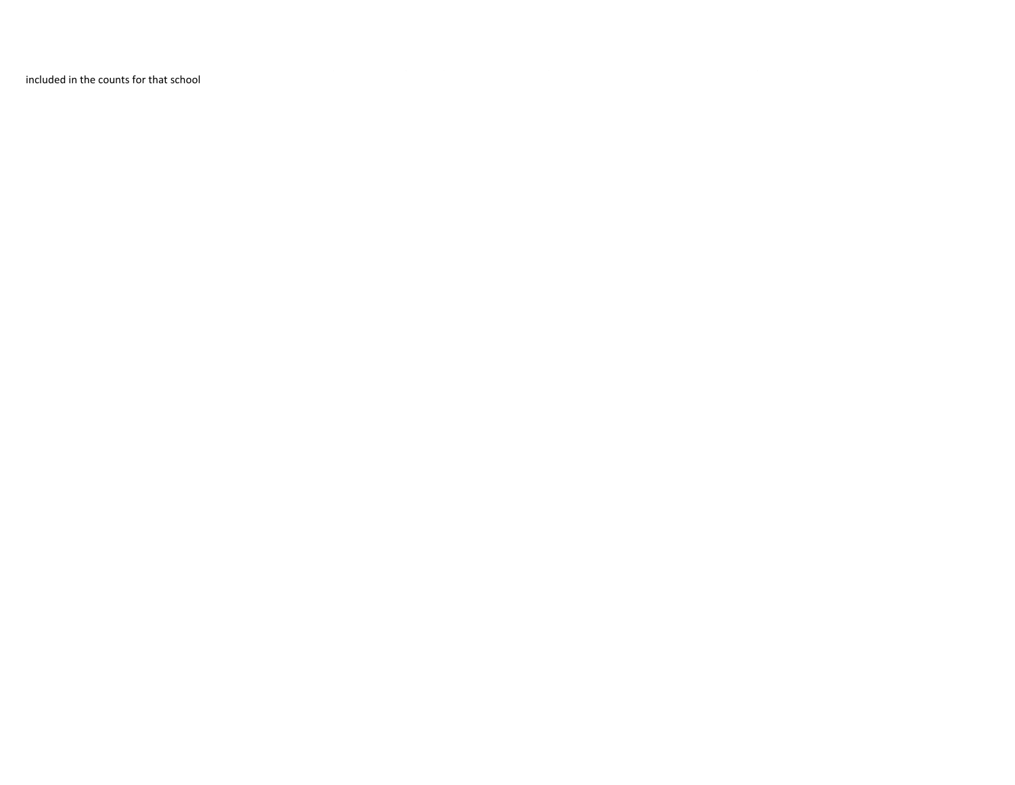included in the counts for that school

g g p g g p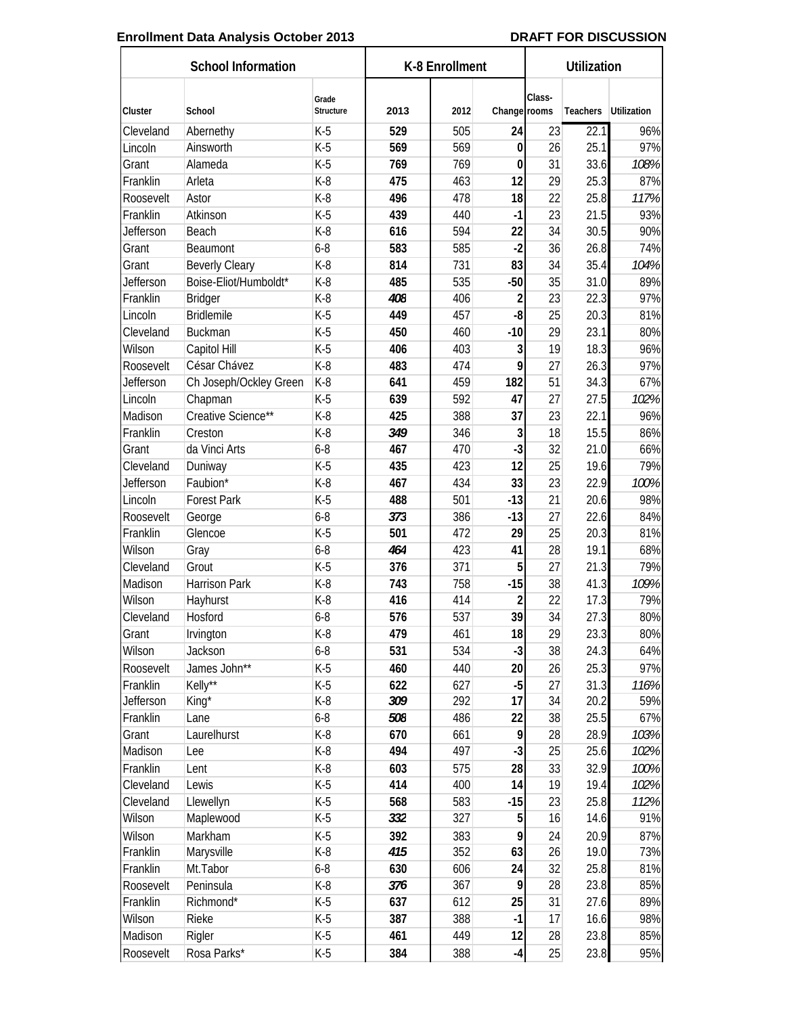#### Enrollment Data Analysis October 2013 **DRAFT FOR DISCUSSION**

| Class-<br>Grade<br>2012<br><b>Utilization</b><br>Cluster<br>School<br>Structure<br>2013<br>Change rooms<br>Teachers<br>22.1<br>$K-5$<br>529<br>505<br>24<br>23<br>96%<br>Cleveland<br>Abernethy<br>Ainsworth<br>$K-5$<br>569<br>569<br>25.1<br>97%<br>Lincoln<br>$\bf{0}$<br>26<br>$K-5$<br>769<br>31<br>33.6<br>108%<br>Alameda<br>769<br>$\bf{0}$<br>Grant<br>12<br>$K-8$<br>475<br>463<br>29<br>25.3<br>87%<br>Franklin<br>Arleta<br>$K-8$<br>496<br>478<br>18<br>22<br>25.8<br>Roosevelt<br>Astor<br>117%<br>Franklin<br>$K-5$<br>439<br>$-1$<br>23<br>21.5<br>93%<br>Atkinson<br>440<br>90%<br>Jefferson<br>$K-8$<br>616<br>594<br>22<br>34<br>30.5<br>Beach<br>$6 - 8$<br>583<br>585<br>$-2$<br>36<br>26.8<br>74%<br>Grant<br>Beaumont<br>$K-8$<br>83<br>731<br>34<br>35.4<br>104%<br><b>Beverly Cleary</b><br>814<br>Grant<br>Boise-Eliot/Humboldt*<br>$K-8$<br>485<br>535<br>$-50$<br>35<br>31.0<br>89%<br>Jefferson<br>Franklin<br>$K-8$<br>23<br>22.3<br>97%<br><b>Bridger</b><br>408<br>406<br>$\overline{c}$<br><b>Bridlemile</b><br>Lincoln<br>$K-5$<br>449<br>457<br>-8<br>25<br>20.3<br>81%<br>$K-5$<br>450<br>$-10$<br>29<br>23.1<br>80%<br>Cleveland<br><b>Buckman</b><br>460<br>$\overline{3}$<br>$K-5$<br>406<br>403<br>19<br>18.3<br>96%<br>Wilson<br>Capitol Hill<br>9<br>César Chávez<br>$K-8$<br>97%<br>483<br>27<br>26.3<br>Roosevelt<br>474<br>$K-8$<br>51<br>Jefferson<br>641<br>459<br>182<br>34.3<br>67%<br>Ch Joseph/Ockley Green<br>$K-5$<br>639<br>27<br>Lincoln<br>592<br>47<br>27.5<br>102%<br>Chapman<br>Madison<br>Creative Science**<br>$K-8$<br>425<br>388<br>37<br>22.1<br>96%<br>23<br>$K-8$<br>349<br>3<br>18<br>15.5<br>86%<br>Franklin<br>Creston<br>346<br>$-3$<br>$6 - 8$<br>32<br>66%<br>Grant<br>da Vinci Arts<br>467<br>470<br>21.0<br>12<br>$K-5$<br>435<br>423<br>25<br>19.6<br>79%<br>Cleveland<br>Duniway<br>23<br>Faubion*<br>$K-8$<br>467<br>434<br>33<br>22.9<br><b>Jefferson</b><br>100%<br>$K-5$<br>501<br>21<br>98%<br>Lincoln<br><b>Forest Park</b><br>488<br>$-13$<br>20.6<br>$6 - 8$<br>373<br>$-13$<br>27<br>22.6<br>84%<br>386<br>Roosevelt<br>George<br>Franklin<br>Glencoe<br>$K-5$<br>501<br>472<br>29<br>25<br>20.3<br>81%<br>$6 - 8$<br>464<br>19.1<br>68%<br>Wilson<br>423<br>41<br>28<br>Gray<br>5<br>$K-5$<br>371<br>27<br>21.3<br>79%<br>Cleveland<br>Grout<br>376<br>$-15$<br>$K-8$<br>38<br>41.3<br>Madison<br>Harrison Park<br>743<br>758<br>109%<br>Wilson<br>$K-8$<br>416<br>$\overline{c}$<br>22<br>79%<br>Hayhurst<br>414<br>17.3<br>39<br>34<br>576<br>537<br>27.3<br>80%<br>Cleveland<br>Hosford<br>$6 - 8$<br>$K-8$<br>18<br>23.3<br>461<br>29<br>80%<br>Grant<br>Irvington<br>479<br>$-3$<br>$6 - 8$<br>24.3<br>64%<br>Wilson<br>Jackson<br>531<br>534<br>38<br>James John**<br>$K-5$<br>26<br>25.3<br>97%<br>460<br>440<br>20<br>Roosevelt<br>Kelly**<br>$-5$<br>Franklin<br>$K-5$<br>622<br>627<br>27<br>31.3<br>116%<br>$K-8$<br>309<br>17<br>20.2<br>59%<br>Jefferson<br>292<br>34<br>King*<br>$6 - 8$<br>38<br>25.5<br>67%<br>Franklin<br>508<br>486<br>22<br>Lane<br>9<br>$K-8$<br>Laurelhurst<br>670<br>28<br>28.9<br>103%<br>Grant<br>661<br>$-3$<br>$K-8$<br>494<br>497<br>25.6<br>Madison<br>25<br>102%<br>Lee<br>$K-8$<br>575<br>28<br>33<br>32.9<br>Franklin<br>603<br>100%<br>Lent<br>102%<br>Cleveland<br>$K-5$<br>414<br>400<br>14<br>19<br>19.4<br>Lewis<br>$K-5$<br>568<br>583<br>$-15$<br>23<br>25.8<br>112%<br>Cleveland<br>Llewellyn<br>5<br>$K-5$<br>332<br>91%<br>Wilson<br>327<br>16<br>14.6<br>Maplewood<br>9<br>20.9<br>Markham<br>$K-5$<br>392<br>24<br>Wilson<br>383<br>87%<br>Marysville<br>$K-8$<br>415<br>352<br>63<br>26<br>Franklin<br>19.0<br>73%<br>$6 - 8$<br>32<br>Franklin<br>Mt.Tabor<br>630<br>606<br>24<br>25.8<br>81%<br>9<br>$K-8$<br>376<br>23.8<br>85%<br>Roosevelt<br>Peninsula<br>367<br>28<br>$K-5$<br>25<br>31<br>89%<br>Franklin<br>Richmond*<br>637<br>612<br>27.6<br>$K-5$<br>17<br>98%<br>Wilson<br>Rieke<br>387<br>388<br>$-1$<br>16.6<br>$K-5$<br>461<br>23.8<br>85%<br>Madison<br>449<br>12<br>28<br>Rigler<br>25<br>23.8<br>$-4$<br>95% | <b>School Information</b> |             |       | K-8 Enrollment |     |  | Utilization |  |  |
|-----------------------------------------------------------------------------------------------------------------------------------------------------------------------------------------------------------------------------------------------------------------------------------------------------------------------------------------------------------------------------------------------------------------------------------------------------------------------------------------------------------------------------------------------------------------------------------------------------------------------------------------------------------------------------------------------------------------------------------------------------------------------------------------------------------------------------------------------------------------------------------------------------------------------------------------------------------------------------------------------------------------------------------------------------------------------------------------------------------------------------------------------------------------------------------------------------------------------------------------------------------------------------------------------------------------------------------------------------------------------------------------------------------------------------------------------------------------------------------------------------------------------------------------------------------------------------------------------------------------------------------------------------------------------------------------------------------------------------------------------------------------------------------------------------------------------------------------------------------------------------------------------------------------------------------------------------------------------------------------------------------------------------------------------------------------------------------------------------------------------------------------------------------------------------------------------------------------------------------------------------------------------------------------------------------------------------------------------------------------------------------------------------------------------------------------------------------------------------------------------------------------------------------------------------------------------------------------------------------------------------------------------------------------------------------------------------------------------------------------------------------------------------------------------------------------------------------------------------------------------------------------------------------------------------------------------------------------------------------------------------------------------------------------------------------------------------------------------------------------------------------------------------------------------------------------------------------------------------------------------------------------------------------------------------------------------------------------------------------------------------------------------------------------------------------------------------------------------------------------------------------------------------------------------------------------------------------------------------------------------------------------------------------------------------------------------------------------------------------------------------------------------------------------------------------------------------------------------------------------------------------------------------------------------------------------------------------------------------------------------------------------------------------------------------------------------------------|---------------------------|-------------|-------|----------------|-----|--|-------------|--|--|
|                                                                                                                                                                                                                                                                                                                                                                                                                                                                                                                                                                                                                                                                                                                                                                                                                                                                                                                                                                                                                                                                                                                                                                                                                                                                                                                                                                                                                                                                                                                                                                                                                                                                                                                                                                                                                                                                                                                                                                                                                                                                                                                                                                                                                                                                                                                                                                                                                                                                                                                                                                                                                                                                                                                                                                                                                                                                                                                                                                                                                                                                                                                                                                                                                                                                                                                                                                                                                                                                                                                                                                                                                                                                                                                                                                                                                                                                                                                                                                                                                                                                                   |                           |             |       |                |     |  |             |  |  |
|                                                                                                                                                                                                                                                                                                                                                                                                                                                                                                                                                                                                                                                                                                                                                                                                                                                                                                                                                                                                                                                                                                                                                                                                                                                                                                                                                                                                                                                                                                                                                                                                                                                                                                                                                                                                                                                                                                                                                                                                                                                                                                                                                                                                                                                                                                                                                                                                                                                                                                                                                                                                                                                                                                                                                                                                                                                                                                                                                                                                                                                                                                                                                                                                                                                                                                                                                                                                                                                                                                                                                                                                                                                                                                                                                                                                                                                                                                                                                                                                                                                                                   |                           |             |       |                |     |  |             |  |  |
|                                                                                                                                                                                                                                                                                                                                                                                                                                                                                                                                                                                                                                                                                                                                                                                                                                                                                                                                                                                                                                                                                                                                                                                                                                                                                                                                                                                                                                                                                                                                                                                                                                                                                                                                                                                                                                                                                                                                                                                                                                                                                                                                                                                                                                                                                                                                                                                                                                                                                                                                                                                                                                                                                                                                                                                                                                                                                                                                                                                                                                                                                                                                                                                                                                                                                                                                                                                                                                                                                                                                                                                                                                                                                                                                                                                                                                                                                                                                                                                                                                                                                   |                           |             |       |                |     |  |             |  |  |
|                                                                                                                                                                                                                                                                                                                                                                                                                                                                                                                                                                                                                                                                                                                                                                                                                                                                                                                                                                                                                                                                                                                                                                                                                                                                                                                                                                                                                                                                                                                                                                                                                                                                                                                                                                                                                                                                                                                                                                                                                                                                                                                                                                                                                                                                                                                                                                                                                                                                                                                                                                                                                                                                                                                                                                                                                                                                                                                                                                                                                                                                                                                                                                                                                                                                                                                                                                                                                                                                                                                                                                                                                                                                                                                                                                                                                                                                                                                                                                                                                                                                                   |                           |             |       |                |     |  |             |  |  |
|                                                                                                                                                                                                                                                                                                                                                                                                                                                                                                                                                                                                                                                                                                                                                                                                                                                                                                                                                                                                                                                                                                                                                                                                                                                                                                                                                                                                                                                                                                                                                                                                                                                                                                                                                                                                                                                                                                                                                                                                                                                                                                                                                                                                                                                                                                                                                                                                                                                                                                                                                                                                                                                                                                                                                                                                                                                                                                                                                                                                                                                                                                                                                                                                                                                                                                                                                                                                                                                                                                                                                                                                                                                                                                                                                                                                                                                                                                                                                                                                                                                                                   |                           |             |       |                |     |  |             |  |  |
|                                                                                                                                                                                                                                                                                                                                                                                                                                                                                                                                                                                                                                                                                                                                                                                                                                                                                                                                                                                                                                                                                                                                                                                                                                                                                                                                                                                                                                                                                                                                                                                                                                                                                                                                                                                                                                                                                                                                                                                                                                                                                                                                                                                                                                                                                                                                                                                                                                                                                                                                                                                                                                                                                                                                                                                                                                                                                                                                                                                                                                                                                                                                                                                                                                                                                                                                                                                                                                                                                                                                                                                                                                                                                                                                                                                                                                                                                                                                                                                                                                                                                   |                           |             |       |                |     |  |             |  |  |
|                                                                                                                                                                                                                                                                                                                                                                                                                                                                                                                                                                                                                                                                                                                                                                                                                                                                                                                                                                                                                                                                                                                                                                                                                                                                                                                                                                                                                                                                                                                                                                                                                                                                                                                                                                                                                                                                                                                                                                                                                                                                                                                                                                                                                                                                                                                                                                                                                                                                                                                                                                                                                                                                                                                                                                                                                                                                                                                                                                                                                                                                                                                                                                                                                                                                                                                                                                                                                                                                                                                                                                                                                                                                                                                                                                                                                                                                                                                                                                                                                                                                                   |                           |             |       |                |     |  |             |  |  |
|                                                                                                                                                                                                                                                                                                                                                                                                                                                                                                                                                                                                                                                                                                                                                                                                                                                                                                                                                                                                                                                                                                                                                                                                                                                                                                                                                                                                                                                                                                                                                                                                                                                                                                                                                                                                                                                                                                                                                                                                                                                                                                                                                                                                                                                                                                                                                                                                                                                                                                                                                                                                                                                                                                                                                                                                                                                                                                                                                                                                                                                                                                                                                                                                                                                                                                                                                                                                                                                                                                                                                                                                                                                                                                                                                                                                                                                                                                                                                                                                                                                                                   |                           |             |       |                |     |  |             |  |  |
|                                                                                                                                                                                                                                                                                                                                                                                                                                                                                                                                                                                                                                                                                                                                                                                                                                                                                                                                                                                                                                                                                                                                                                                                                                                                                                                                                                                                                                                                                                                                                                                                                                                                                                                                                                                                                                                                                                                                                                                                                                                                                                                                                                                                                                                                                                                                                                                                                                                                                                                                                                                                                                                                                                                                                                                                                                                                                                                                                                                                                                                                                                                                                                                                                                                                                                                                                                                                                                                                                                                                                                                                                                                                                                                                                                                                                                                                                                                                                                                                                                                                                   |                           |             |       |                |     |  |             |  |  |
|                                                                                                                                                                                                                                                                                                                                                                                                                                                                                                                                                                                                                                                                                                                                                                                                                                                                                                                                                                                                                                                                                                                                                                                                                                                                                                                                                                                                                                                                                                                                                                                                                                                                                                                                                                                                                                                                                                                                                                                                                                                                                                                                                                                                                                                                                                                                                                                                                                                                                                                                                                                                                                                                                                                                                                                                                                                                                                                                                                                                                                                                                                                                                                                                                                                                                                                                                                                                                                                                                                                                                                                                                                                                                                                                                                                                                                                                                                                                                                                                                                                                                   |                           |             |       |                |     |  |             |  |  |
|                                                                                                                                                                                                                                                                                                                                                                                                                                                                                                                                                                                                                                                                                                                                                                                                                                                                                                                                                                                                                                                                                                                                                                                                                                                                                                                                                                                                                                                                                                                                                                                                                                                                                                                                                                                                                                                                                                                                                                                                                                                                                                                                                                                                                                                                                                                                                                                                                                                                                                                                                                                                                                                                                                                                                                                                                                                                                                                                                                                                                                                                                                                                                                                                                                                                                                                                                                                                                                                                                                                                                                                                                                                                                                                                                                                                                                                                                                                                                                                                                                                                                   |                           |             |       |                |     |  |             |  |  |
|                                                                                                                                                                                                                                                                                                                                                                                                                                                                                                                                                                                                                                                                                                                                                                                                                                                                                                                                                                                                                                                                                                                                                                                                                                                                                                                                                                                                                                                                                                                                                                                                                                                                                                                                                                                                                                                                                                                                                                                                                                                                                                                                                                                                                                                                                                                                                                                                                                                                                                                                                                                                                                                                                                                                                                                                                                                                                                                                                                                                                                                                                                                                                                                                                                                                                                                                                                                                                                                                                                                                                                                                                                                                                                                                                                                                                                                                                                                                                                                                                                                                                   |                           |             |       |                |     |  |             |  |  |
|                                                                                                                                                                                                                                                                                                                                                                                                                                                                                                                                                                                                                                                                                                                                                                                                                                                                                                                                                                                                                                                                                                                                                                                                                                                                                                                                                                                                                                                                                                                                                                                                                                                                                                                                                                                                                                                                                                                                                                                                                                                                                                                                                                                                                                                                                                                                                                                                                                                                                                                                                                                                                                                                                                                                                                                                                                                                                                                                                                                                                                                                                                                                                                                                                                                                                                                                                                                                                                                                                                                                                                                                                                                                                                                                                                                                                                                                                                                                                                                                                                                                                   |                           |             |       |                |     |  |             |  |  |
|                                                                                                                                                                                                                                                                                                                                                                                                                                                                                                                                                                                                                                                                                                                                                                                                                                                                                                                                                                                                                                                                                                                                                                                                                                                                                                                                                                                                                                                                                                                                                                                                                                                                                                                                                                                                                                                                                                                                                                                                                                                                                                                                                                                                                                                                                                                                                                                                                                                                                                                                                                                                                                                                                                                                                                                                                                                                                                                                                                                                                                                                                                                                                                                                                                                                                                                                                                                                                                                                                                                                                                                                                                                                                                                                                                                                                                                                                                                                                                                                                                                                                   |                           |             |       |                |     |  |             |  |  |
|                                                                                                                                                                                                                                                                                                                                                                                                                                                                                                                                                                                                                                                                                                                                                                                                                                                                                                                                                                                                                                                                                                                                                                                                                                                                                                                                                                                                                                                                                                                                                                                                                                                                                                                                                                                                                                                                                                                                                                                                                                                                                                                                                                                                                                                                                                                                                                                                                                                                                                                                                                                                                                                                                                                                                                                                                                                                                                                                                                                                                                                                                                                                                                                                                                                                                                                                                                                                                                                                                                                                                                                                                                                                                                                                                                                                                                                                                                                                                                                                                                                                                   |                           |             |       |                |     |  |             |  |  |
|                                                                                                                                                                                                                                                                                                                                                                                                                                                                                                                                                                                                                                                                                                                                                                                                                                                                                                                                                                                                                                                                                                                                                                                                                                                                                                                                                                                                                                                                                                                                                                                                                                                                                                                                                                                                                                                                                                                                                                                                                                                                                                                                                                                                                                                                                                                                                                                                                                                                                                                                                                                                                                                                                                                                                                                                                                                                                                                                                                                                                                                                                                                                                                                                                                                                                                                                                                                                                                                                                                                                                                                                                                                                                                                                                                                                                                                                                                                                                                                                                                                                                   |                           |             |       |                |     |  |             |  |  |
|                                                                                                                                                                                                                                                                                                                                                                                                                                                                                                                                                                                                                                                                                                                                                                                                                                                                                                                                                                                                                                                                                                                                                                                                                                                                                                                                                                                                                                                                                                                                                                                                                                                                                                                                                                                                                                                                                                                                                                                                                                                                                                                                                                                                                                                                                                                                                                                                                                                                                                                                                                                                                                                                                                                                                                                                                                                                                                                                                                                                                                                                                                                                                                                                                                                                                                                                                                                                                                                                                                                                                                                                                                                                                                                                                                                                                                                                                                                                                                                                                                                                                   |                           |             |       |                |     |  |             |  |  |
|                                                                                                                                                                                                                                                                                                                                                                                                                                                                                                                                                                                                                                                                                                                                                                                                                                                                                                                                                                                                                                                                                                                                                                                                                                                                                                                                                                                                                                                                                                                                                                                                                                                                                                                                                                                                                                                                                                                                                                                                                                                                                                                                                                                                                                                                                                                                                                                                                                                                                                                                                                                                                                                                                                                                                                                                                                                                                                                                                                                                                                                                                                                                                                                                                                                                                                                                                                                                                                                                                                                                                                                                                                                                                                                                                                                                                                                                                                                                                                                                                                                                                   |                           |             |       |                |     |  |             |  |  |
|                                                                                                                                                                                                                                                                                                                                                                                                                                                                                                                                                                                                                                                                                                                                                                                                                                                                                                                                                                                                                                                                                                                                                                                                                                                                                                                                                                                                                                                                                                                                                                                                                                                                                                                                                                                                                                                                                                                                                                                                                                                                                                                                                                                                                                                                                                                                                                                                                                                                                                                                                                                                                                                                                                                                                                                                                                                                                                                                                                                                                                                                                                                                                                                                                                                                                                                                                                                                                                                                                                                                                                                                                                                                                                                                                                                                                                                                                                                                                                                                                                                                                   |                           |             |       |                |     |  |             |  |  |
|                                                                                                                                                                                                                                                                                                                                                                                                                                                                                                                                                                                                                                                                                                                                                                                                                                                                                                                                                                                                                                                                                                                                                                                                                                                                                                                                                                                                                                                                                                                                                                                                                                                                                                                                                                                                                                                                                                                                                                                                                                                                                                                                                                                                                                                                                                                                                                                                                                                                                                                                                                                                                                                                                                                                                                                                                                                                                                                                                                                                                                                                                                                                                                                                                                                                                                                                                                                                                                                                                                                                                                                                                                                                                                                                                                                                                                                                                                                                                                                                                                                                                   |                           |             |       |                |     |  |             |  |  |
|                                                                                                                                                                                                                                                                                                                                                                                                                                                                                                                                                                                                                                                                                                                                                                                                                                                                                                                                                                                                                                                                                                                                                                                                                                                                                                                                                                                                                                                                                                                                                                                                                                                                                                                                                                                                                                                                                                                                                                                                                                                                                                                                                                                                                                                                                                                                                                                                                                                                                                                                                                                                                                                                                                                                                                                                                                                                                                                                                                                                                                                                                                                                                                                                                                                                                                                                                                                                                                                                                                                                                                                                                                                                                                                                                                                                                                                                                                                                                                                                                                                                                   |                           |             |       |                |     |  |             |  |  |
|                                                                                                                                                                                                                                                                                                                                                                                                                                                                                                                                                                                                                                                                                                                                                                                                                                                                                                                                                                                                                                                                                                                                                                                                                                                                                                                                                                                                                                                                                                                                                                                                                                                                                                                                                                                                                                                                                                                                                                                                                                                                                                                                                                                                                                                                                                                                                                                                                                                                                                                                                                                                                                                                                                                                                                                                                                                                                                                                                                                                                                                                                                                                                                                                                                                                                                                                                                                                                                                                                                                                                                                                                                                                                                                                                                                                                                                                                                                                                                                                                                                                                   |                           |             |       |                |     |  |             |  |  |
|                                                                                                                                                                                                                                                                                                                                                                                                                                                                                                                                                                                                                                                                                                                                                                                                                                                                                                                                                                                                                                                                                                                                                                                                                                                                                                                                                                                                                                                                                                                                                                                                                                                                                                                                                                                                                                                                                                                                                                                                                                                                                                                                                                                                                                                                                                                                                                                                                                                                                                                                                                                                                                                                                                                                                                                                                                                                                                                                                                                                                                                                                                                                                                                                                                                                                                                                                                                                                                                                                                                                                                                                                                                                                                                                                                                                                                                                                                                                                                                                                                                                                   |                           |             |       |                |     |  |             |  |  |
|                                                                                                                                                                                                                                                                                                                                                                                                                                                                                                                                                                                                                                                                                                                                                                                                                                                                                                                                                                                                                                                                                                                                                                                                                                                                                                                                                                                                                                                                                                                                                                                                                                                                                                                                                                                                                                                                                                                                                                                                                                                                                                                                                                                                                                                                                                                                                                                                                                                                                                                                                                                                                                                                                                                                                                                                                                                                                                                                                                                                                                                                                                                                                                                                                                                                                                                                                                                                                                                                                                                                                                                                                                                                                                                                                                                                                                                                                                                                                                                                                                                                                   |                           |             |       |                |     |  |             |  |  |
|                                                                                                                                                                                                                                                                                                                                                                                                                                                                                                                                                                                                                                                                                                                                                                                                                                                                                                                                                                                                                                                                                                                                                                                                                                                                                                                                                                                                                                                                                                                                                                                                                                                                                                                                                                                                                                                                                                                                                                                                                                                                                                                                                                                                                                                                                                                                                                                                                                                                                                                                                                                                                                                                                                                                                                                                                                                                                                                                                                                                                                                                                                                                                                                                                                                                                                                                                                                                                                                                                                                                                                                                                                                                                                                                                                                                                                                                                                                                                                                                                                                                                   |                           |             |       |                |     |  |             |  |  |
|                                                                                                                                                                                                                                                                                                                                                                                                                                                                                                                                                                                                                                                                                                                                                                                                                                                                                                                                                                                                                                                                                                                                                                                                                                                                                                                                                                                                                                                                                                                                                                                                                                                                                                                                                                                                                                                                                                                                                                                                                                                                                                                                                                                                                                                                                                                                                                                                                                                                                                                                                                                                                                                                                                                                                                                                                                                                                                                                                                                                                                                                                                                                                                                                                                                                                                                                                                                                                                                                                                                                                                                                                                                                                                                                                                                                                                                                                                                                                                                                                                                                                   |                           |             |       |                |     |  |             |  |  |
|                                                                                                                                                                                                                                                                                                                                                                                                                                                                                                                                                                                                                                                                                                                                                                                                                                                                                                                                                                                                                                                                                                                                                                                                                                                                                                                                                                                                                                                                                                                                                                                                                                                                                                                                                                                                                                                                                                                                                                                                                                                                                                                                                                                                                                                                                                                                                                                                                                                                                                                                                                                                                                                                                                                                                                                                                                                                                                                                                                                                                                                                                                                                                                                                                                                                                                                                                                                                                                                                                                                                                                                                                                                                                                                                                                                                                                                                                                                                                                                                                                                                                   |                           |             |       |                |     |  |             |  |  |
|                                                                                                                                                                                                                                                                                                                                                                                                                                                                                                                                                                                                                                                                                                                                                                                                                                                                                                                                                                                                                                                                                                                                                                                                                                                                                                                                                                                                                                                                                                                                                                                                                                                                                                                                                                                                                                                                                                                                                                                                                                                                                                                                                                                                                                                                                                                                                                                                                                                                                                                                                                                                                                                                                                                                                                                                                                                                                                                                                                                                                                                                                                                                                                                                                                                                                                                                                                                                                                                                                                                                                                                                                                                                                                                                                                                                                                                                                                                                                                                                                                                                                   |                           |             |       |                |     |  |             |  |  |
|                                                                                                                                                                                                                                                                                                                                                                                                                                                                                                                                                                                                                                                                                                                                                                                                                                                                                                                                                                                                                                                                                                                                                                                                                                                                                                                                                                                                                                                                                                                                                                                                                                                                                                                                                                                                                                                                                                                                                                                                                                                                                                                                                                                                                                                                                                                                                                                                                                                                                                                                                                                                                                                                                                                                                                                                                                                                                                                                                                                                                                                                                                                                                                                                                                                                                                                                                                                                                                                                                                                                                                                                                                                                                                                                                                                                                                                                                                                                                                                                                                                                                   |                           |             |       |                |     |  |             |  |  |
|                                                                                                                                                                                                                                                                                                                                                                                                                                                                                                                                                                                                                                                                                                                                                                                                                                                                                                                                                                                                                                                                                                                                                                                                                                                                                                                                                                                                                                                                                                                                                                                                                                                                                                                                                                                                                                                                                                                                                                                                                                                                                                                                                                                                                                                                                                                                                                                                                                                                                                                                                                                                                                                                                                                                                                                                                                                                                                                                                                                                                                                                                                                                                                                                                                                                                                                                                                                                                                                                                                                                                                                                                                                                                                                                                                                                                                                                                                                                                                                                                                                                                   |                           |             |       |                |     |  |             |  |  |
|                                                                                                                                                                                                                                                                                                                                                                                                                                                                                                                                                                                                                                                                                                                                                                                                                                                                                                                                                                                                                                                                                                                                                                                                                                                                                                                                                                                                                                                                                                                                                                                                                                                                                                                                                                                                                                                                                                                                                                                                                                                                                                                                                                                                                                                                                                                                                                                                                                                                                                                                                                                                                                                                                                                                                                                                                                                                                                                                                                                                                                                                                                                                                                                                                                                                                                                                                                                                                                                                                                                                                                                                                                                                                                                                                                                                                                                                                                                                                                                                                                                                                   |                           |             |       |                |     |  |             |  |  |
|                                                                                                                                                                                                                                                                                                                                                                                                                                                                                                                                                                                                                                                                                                                                                                                                                                                                                                                                                                                                                                                                                                                                                                                                                                                                                                                                                                                                                                                                                                                                                                                                                                                                                                                                                                                                                                                                                                                                                                                                                                                                                                                                                                                                                                                                                                                                                                                                                                                                                                                                                                                                                                                                                                                                                                                                                                                                                                                                                                                                                                                                                                                                                                                                                                                                                                                                                                                                                                                                                                                                                                                                                                                                                                                                                                                                                                                                                                                                                                                                                                                                                   |                           |             |       |                |     |  |             |  |  |
|                                                                                                                                                                                                                                                                                                                                                                                                                                                                                                                                                                                                                                                                                                                                                                                                                                                                                                                                                                                                                                                                                                                                                                                                                                                                                                                                                                                                                                                                                                                                                                                                                                                                                                                                                                                                                                                                                                                                                                                                                                                                                                                                                                                                                                                                                                                                                                                                                                                                                                                                                                                                                                                                                                                                                                                                                                                                                                                                                                                                                                                                                                                                                                                                                                                                                                                                                                                                                                                                                                                                                                                                                                                                                                                                                                                                                                                                                                                                                                                                                                                                                   |                           |             |       |                |     |  |             |  |  |
|                                                                                                                                                                                                                                                                                                                                                                                                                                                                                                                                                                                                                                                                                                                                                                                                                                                                                                                                                                                                                                                                                                                                                                                                                                                                                                                                                                                                                                                                                                                                                                                                                                                                                                                                                                                                                                                                                                                                                                                                                                                                                                                                                                                                                                                                                                                                                                                                                                                                                                                                                                                                                                                                                                                                                                                                                                                                                                                                                                                                                                                                                                                                                                                                                                                                                                                                                                                                                                                                                                                                                                                                                                                                                                                                                                                                                                                                                                                                                                                                                                                                                   |                           |             |       |                |     |  |             |  |  |
|                                                                                                                                                                                                                                                                                                                                                                                                                                                                                                                                                                                                                                                                                                                                                                                                                                                                                                                                                                                                                                                                                                                                                                                                                                                                                                                                                                                                                                                                                                                                                                                                                                                                                                                                                                                                                                                                                                                                                                                                                                                                                                                                                                                                                                                                                                                                                                                                                                                                                                                                                                                                                                                                                                                                                                                                                                                                                                                                                                                                                                                                                                                                                                                                                                                                                                                                                                                                                                                                                                                                                                                                                                                                                                                                                                                                                                                                                                                                                                                                                                                                                   |                           |             |       |                |     |  |             |  |  |
|                                                                                                                                                                                                                                                                                                                                                                                                                                                                                                                                                                                                                                                                                                                                                                                                                                                                                                                                                                                                                                                                                                                                                                                                                                                                                                                                                                                                                                                                                                                                                                                                                                                                                                                                                                                                                                                                                                                                                                                                                                                                                                                                                                                                                                                                                                                                                                                                                                                                                                                                                                                                                                                                                                                                                                                                                                                                                                                                                                                                                                                                                                                                                                                                                                                                                                                                                                                                                                                                                                                                                                                                                                                                                                                                                                                                                                                                                                                                                                                                                                                                                   |                           |             |       |                |     |  |             |  |  |
|                                                                                                                                                                                                                                                                                                                                                                                                                                                                                                                                                                                                                                                                                                                                                                                                                                                                                                                                                                                                                                                                                                                                                                                                                                                                                                                                                                                                                                                                                                                                                                                                                                                                                                                                                                                                                                                                                                                                                                                                                                                                                                                                                                                                                                                                                                                                                                                                                                                                                                                                                                                                                                                                                                                                                                                                                                                                                                                                                                                                                                                                                                                                                                                                                                                                                                                                                                                                                                                                                                                                                                                                                                                                                                                                                                                                                                                                                                                                                                                                                                                                                   |                           |             |       |                |     |  |             |  |  |
|                                                                                                                                                                                                                                                                                                                                                                                                                                                                                                                                                                                                                                                                                                                                                                                                                                                                                                                                                                                                                                                                                                                                                                                                                                                                                                                                                                                                                                                                                                                                                                                                                                                                                                                                                                                                                                                                                                                                                                                                                                                                                                                                                                                                                                                                                                                                                                                                                                                                                                                                                                                                                                                                                                                                                                                                                                                                                                                                                                                                                                                                                                                                                                                                                                                                                                                                                                                                                                                                                                                                                                                                                                                                                                                                                                                                                                                                                                                                                                                                                                                                                   |                           |             |       |                |     |  |             |  |  |
|                                                                                                                                                                                                                                                                                                                                                                                                                                                                                                                                                                                                                                                                                                                                                                                                                                                                                                                                                                                                                                                                                                                                                                                                                                                                                                                                                                                                                                                                                                                                                                                                                                                                                                                                                                                                                                                                                                                                                                                                                                                                                                                                                                                                                                                                                                                                                                                                                                                                                                                                                                                                                                                                                                                                                                                                                                                                                                                                                                                                                                                                                                                                                                                                                                                                                                                                                                                                                                                                                                                                                                                                                                                                                                                                                                                                                                                                                                                                                                                                                                                                                   |                           |             |       |                |     |  |             |  |  |
|                                                                                                                                                                                                                                                                                                                                                                                                                                                                                                                                                                                                                                                                                                                                                                                                                                                                                                                                                                                                                                                                                                                                                                                                                                                                                                                                                                                                                                                                                                                                                                                                                                                                                                                                                                                                                                                                                                                                                                                                                                                                                                                                                                                                                                                                                                                                                                                                                                                                                                                                                                                                                                                                                                                                                                                                                                                                                                                                                                                                                                                                                                                                                                                                                                                                                                                                                                                                                                                                                                                                                                                                                                                                                                                                                                                                                                                                                                                                                                                                                                                                                   |                           |             |       |                |     |  |             |  |  |
|                                                                                                                                                                                                                                                                                                                                                                                                                                                                                                                                                                                                                                                                                                                                                                                                                                                                                                                                                                                                                                                                                                                                                                                                                                                                                                                                                                                                                                                                                                                                                                                                                                                                                                                                                                                                                                                                                                                                                                                                                                                                                                                                                                                                                                                                                                                                                                                                                                                                                                                                                                                                                                                                                                                                                                                                                                                                                                                                                                                                                                                                                                                                                                                                                                                                                                                                                                                                                                                                                                                                                                                                                                                                                                                                                                                                                                                                                                                                                                                                                                                                                   |                           |             |       |                |     |  |             |  |  |
|                                                                                                                                                                                                                                                                                                                                                                                                                                                                                                                                                                                                                                                                                                                                                                                                                                                                                                                                                                                                                                                                                                                                                                                                                                                                                                                                                                                                                                                                                                                                                                                                                                                                                                                                                                                                                                                                                                                                                                                                                                                                                                                                                                                                                                                                                                                                                                                                                                                                                                                                                                                                                                                                                                                                                                                                                                                                                                                                                                                                                                                                                                                                                                                                                                                                                                                                                                                                                                                                                                                                                                                                                                                                                                                                                                                                                                                                                                                                                                                                                                                                                   |                           |             |       |                |     |  |             |  |  |
|                                                                                                                                                                                                                                                                                                                                                                                                                                                                                                                                                                                                                                                                                                                                                                                                                                                                                                                                                                                                                                                                                                                                                                                                                                                                                                                                                                                                                                                                                                                                                                                                                                                                                                                                                                                                                                                                                                                                                                                                                                                                                                                                                                                                                                                                                                                                                                                                                                                                                                                                                                                                                                                                                                                                                                                                                                                                                                                                                                                                                                                                                                                                                                                                                                                                                                                                                                                                                                                                                                                                                                                                                                                                                                                                                                                                                                                                                                                                                                                                                                                                                   |                           |             |       |                |     |  |             |  |  |
|                                                                                                                                                                                                                                                                                                                                                                                                                                                                                                                                                                                                                                                                                                                                                                                                                                                                                                                                                                                                                                                                                                                                                                                                                                                                                                                                                                                                                                                                                                                                                                                                                                                                                                                                                                                                                                                                                                                                                                                                                                                                                                                                                                                                                                                                                                                                                                                                                                                                                                                                                                                                                                                                                                                                                                                                                                                                                                                                                                                                                                                                                                                                                                                                                                                                                                                                                                                                                                                                                                                                                                                                                                                                                                                                                                                                                                                                                                                                                                                                                                                                                   |                           |             |       |                |     |  |             |  |  |
|                                                                                                                                                                                                                                                                                                                                                                                                                                                                                                                                                                                                                                                                                                                                                                                                                                                                                                                                                                                                                                                                                                                                                                                                                                                                                                                                                                                                                                                                                                                                                                                                                                                                                                                                                                                                                                                                                                                                                                                                                                                                                                                                                                                                                                                                                                                                                                                                                                                                                                                                                                                                                                                                                                                                                                                                                                                                                                                                                                                                                                                                                                                                                                                                                                                                                                                                                                                                                                                                                                                                                                                                                                                                                                                                                                                                                                                                                                                                                                                                                                                                                   |                           |             |       |                |     |  |             |  |  |
|                                                                                                                                                                                                                                                                                                                                                                                                                                                                                                                                                                                                                                                                                                                                                                                                                                                                                                                                                                                                                                                                                                                                                                                                                                                                                                                                                                                                                                                                                                                                                                                                                                                                                                                                                                                                                                                                                                                                                                                                                                                                                                                                                                                                                                                                                                                                                                                                                                                                                                                                                                                                                                                                                                                                                                                                                                                                                                                                                                                                                                                                                                                                                                                                                                                                                                                                                                                                                                                                                                                                                                                                                                                                                                                                                                                                                                                                                                                                                                                                                                                                                   |                           |             |       |                |     |  |             |  |  |
|                                                                                                                                                                                                                                                                                                                                                                                                                                                                                                                                                                                                                                                                                                                                                                                                                                                                                                                                                                                                                                                                                                                                                                                                                                                                                                                                                                                                                                                                                                                                                                                                                                                                                                                                                                                                                                                                                                                                                                                                                                                                                                                                                                                                                                                                                                                                                                                                                                                                                                                                                                                                                                                                                                                                                                                                                                                                                                                                                                                                                                                                                                                                                                                                                                                                                                                                                                                                                                                                                                                                                                                                                                                                                                                                                                                                                                                                                                                                                                                                                                                                                   |                           |             |       |                |     |  |             |  |  |
|                                                                                                                                                                                                                                                                                                                                                                                                                                                                                                                                                                                                                                                                                                                                                                                                                                                                                                                                                                                                                                                                                                                                                                                                                                                                                                                                                                                                                                                                                                                                                                                                                                                                                                                                                                                                                                                                                                                                                                                                                                                                                                                                                                                                                                                                                                                                                                                                                                                                                                                                                                                                                                                                                                                                                                                                                                                                                                                                                                                                                                                                                                                                                                                                                                                                                                                                                                                                                                                                                                                                                                                                                                                                                                                                                                                                                                                                                                                                                                                                                                                                                   |                           |             |       |                |     |  |             |  |  |
|                                                                                                                                                                                                                                                                                                                                                                                                                                                                                                                                                                                                                                                                                                                                                                                                                                                                                                                                                                                                                                                                                                                                                                                                                                                                                                                                                                                                                                                                                                                                                                                                                                                                                                                                                                                                                                                                                                                                                                                                                                                                                                                                                                                                                                                                                                                                                                                                                                                                                                                                                                                                                                                                                                                                                                                                                                                                                                                                                                                                                                                                                                                                                                                                                                                                                                                                                                                                                                                                                                                                                                                                                                                                                                                                                                                                                                                                                                                                                                                                                                                                                   |                           |             |       |                |     |  |             |  |  |
|                                                                                                                                                                                                                                                                                                                                                                                                                                                                                                                                                                                                                                                                                                                                                                                                                                                                                                                                                                                                                                                                                                                                                                                                                                                                                                                                                                                                                                                                                                                                                                                                                                                                                                                                                                                                                                                                                                                                                                                                                                                                                                                                                                                                                                                                                                                                                                                                                                                                                                                                                                                                                                                                                                                                                                                                                                                                                                                                                                                                                                                                                                                                                                                                                                                                                                                                                                                                                                                                                                                                                                                                                                                                                                                                                                                                                                                                                                                                                                                                                                                                                   |                           |             |       |                |     |  |             |  |  |
|                                                                                                                                                                                                                                                                                                                                                                                                                                                                                                                                                                                                                                                                                                                                                                                                                                                                                                                                                                                                                                                                                                                                                                                                                                                                                                                                                                                                                                                                                                                                                                                                                                                                                                                                                                                                                                                                                                                                                                                                                                                                                                                                                                                                                                                                                                                                                                                                                                                                                                                                                                                                                                                                                                                                                                                                                                                                                                                                                                                                                                                                                                                                                                                                                                                                                                                                                                                                                                                                                                                                                                                                                                                                                                                                                                                                                                                                                                                                                                                                                                                                                   |                           |             |       |                |     |  |             |  |  |
|                                                                                                                                                                                                                                                                                                                                                                                                                                                                                                                                                                                                                                                                                                                                                                                                                                                                                                                                                                                                                                                                                                                                                                                                                                                                                                                                                                                                                                                                                                                                                                                                                                                                                                                                                                                                                                                                                                                                                                                                                                                                                                                                                                                                                                                                                                                                                                                                                                                                                                                                                                                                                                                                                                                                                                                                                                                                                                                                                                                                                                                                                                                                                                                                                                                                                                                                                                                                                                                                                                                                                                                                                                                                                                                                                                                                                                                                                                                                                                                                                                                                                   | Roosevelt                 | Rosa Parks* | $K-5$ | 384            | 388 |  |             |  |  |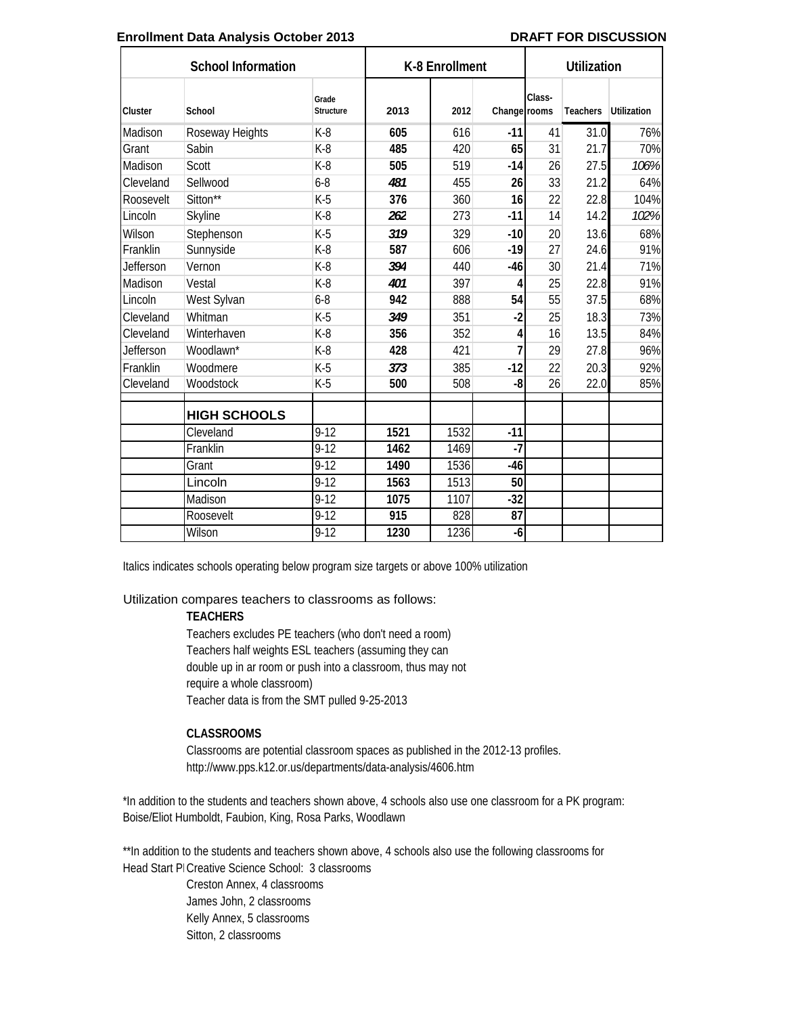#### **Enrollment Data Analysis October 2013 DRAFT FOR DISCUSSION**

| <b>School Information</b> |                     |                    |                  | K-8 Enrollment |              |        | <b>Utilization</b> |                    |  |
|---------------------------|---------------------|--------------------|------------------|----------------|--------------|--------|--------------------|--------------------|--|
| Cluster                   | School              | Grade<br>Structure | 2013             | 2012           | Change rooms | Class- | <b>Teachers</b>    | <b>Utilization</b> |  |
| Madison                   | Roseway Heights     | $K-8$              | 605              | 616            | $-11$        | 41     | 31.0               | 76%                |  |
| Grant                     | Sabin               | $K-8$              | 485              | 420            | 65           | 31     | 21.7               | 70%                |  |
| Madison                   | Scott               | $K-8$              | 505              | 519            | $-14$        | 26     | 27.5               | 106%               |  |
| Cleveland                 | Sellwood            | $6 - 8$            | 481              | 455            | 26           | 33     | 21.2               | 64%                |  |
| Roosevelt                 | Sitton**            | $K-5$              | 376              | 360            | 16           | 22     | 22.8               | 104%               |  |
| Lincoln                   | <b>Skyline</b>      | $K-8$              | 262              | 273            | $-11$        | 14     | 14.2               | 102%               |  |
| Wilson                    | Stephenson          | $K-5$              | 319              | 329            | $-10$        | 20     | 13.6               | 68%                |  |
| Franklin                  | Sunnyside           | $K-8$              | 587              | 606            | $-19$        | 27     | 24.6               | 91%                |  |
| <b>Jefferson</b>          | Vernon              | $K-8$              | 394              | 440            | -46          | 30     | 21.4               | 71%                |  |
| Madison                   | Vestal              | $K-8$              | 401              | 397            | 4            | 25     | 22.8               | 91%                |  |
| Lincoln                   | West Sylvan         | $6 - 8$            | 942              | 888            | 54           | 55     | 37.5               | 68%                |  |
| Cleveland                 | Whitman             | $K-5$              | 349              | 351            | $-2$         | 25     | 18.3               | 73%                |  |
| Cleveland                 | Winterhaven         | $K-8$              | 356              | 352            | 4            | 16     | 13.5               | 84%                |  |
| Jefferson                 | Woodlawn*           | $K-8$              | 428              | 421            | 7            | 29     | 27.8               | 96%                |  |
| Franklin                  | Woodmere            | $K-5$              | 373              | 385            | $-12$        | 22     | 20.3               | 92%                |  |
| Cleveland                 | Woodstock           | $K-5$              | 500              | 508            | -8           | 26     | 22.0               | 85%                |  |
|                           | <b>HIGH SCHOOLS</b> |                    |                  |                |              |        |                    |                    |  |
|                           | Cleveland           | $9-12$             | $\frac{1}{1521}$ | 1532           | $-11$        |        |                    |                    |  |
|                           | Franklin            | $9 - 12$           | 1462             | 1469           | $-7$         |        |                    |                    |  |
|                           | Grant               | $9 - 12$           | 1490             | 1536           | $-46$        |        |                    |                    |  |
|                           | Lincoln             | $9 - 12$           | 1563             | 1513           | 50           |        |                    |                    |  |
|                           | Madison             | $9 - 12$           | 1075             | 1107           | $-32$        |        |                    |                    |  |
|                           | Roosevelt           | $9 - 12$           | $\overline{915}$ | 828            | 87           |        |                    |                    |  |
|                           | Wilson              | $9-12$             | 1230             | 1236           | -6           |        |                    |                    |  |

Italics indicates schools operating below program size targets or above 100% utilization

#### Utilization compares teachers to classrooms as follows:

#### **TEACHERS**

Teacher data is from the SMT pulled 9-25-2013 Teachers excludes PE teachers (who don't need a room) Teachers half weights ESL teachers (assuming they can double up in ar room or push into a classroom, thus may not require a whole classroom)

#### **CLASSROOMS**

Classrooms are potential classroom spaces as published in the 2012-13 profiles. http://www.pps.k12.or.us/departments/data-analysis/4606.htm

\*In addition to the students and teachers shown above, 4 schools also use one classroom for a PK program: Boise/Eliot Humboldt, Faubion, King, Rosa Parks, Woodlawn

\*\*In addition to the students and teachers shown above, 4 schools also use the following classrooms for Head Start PI Creative Science School: 3 classrooms

> Creston Annex, 4 classrooms James John, 2 classrooms Kelly Annex, 5 classrooms Sitton, 2 classrooms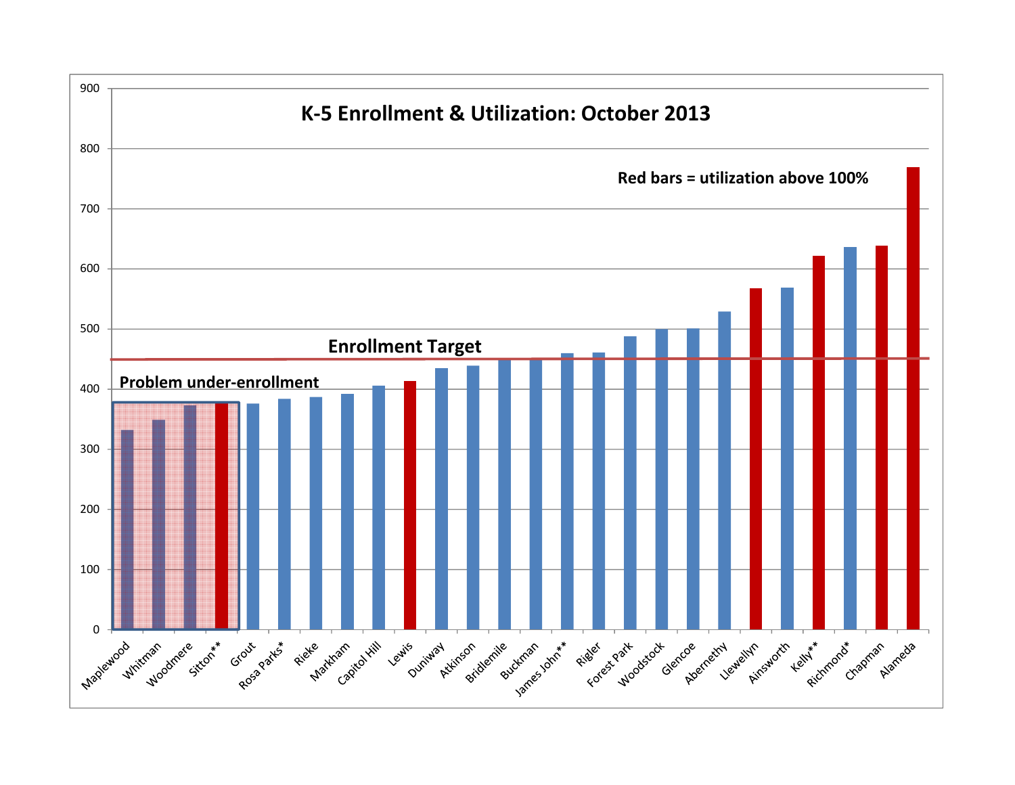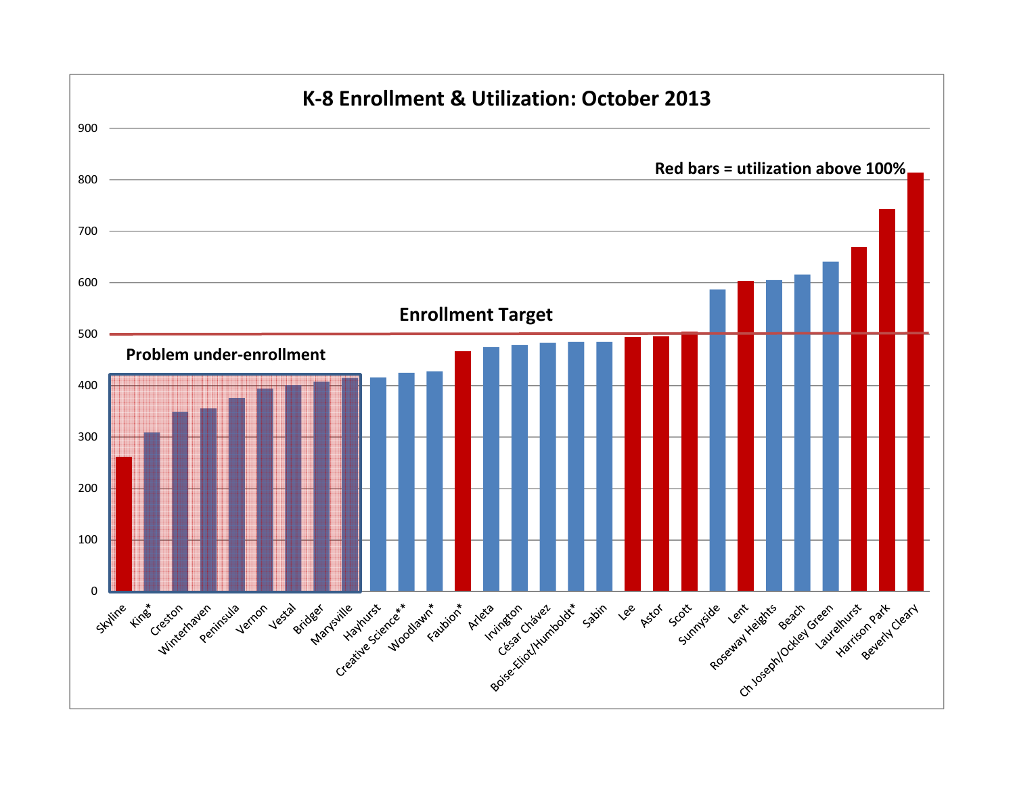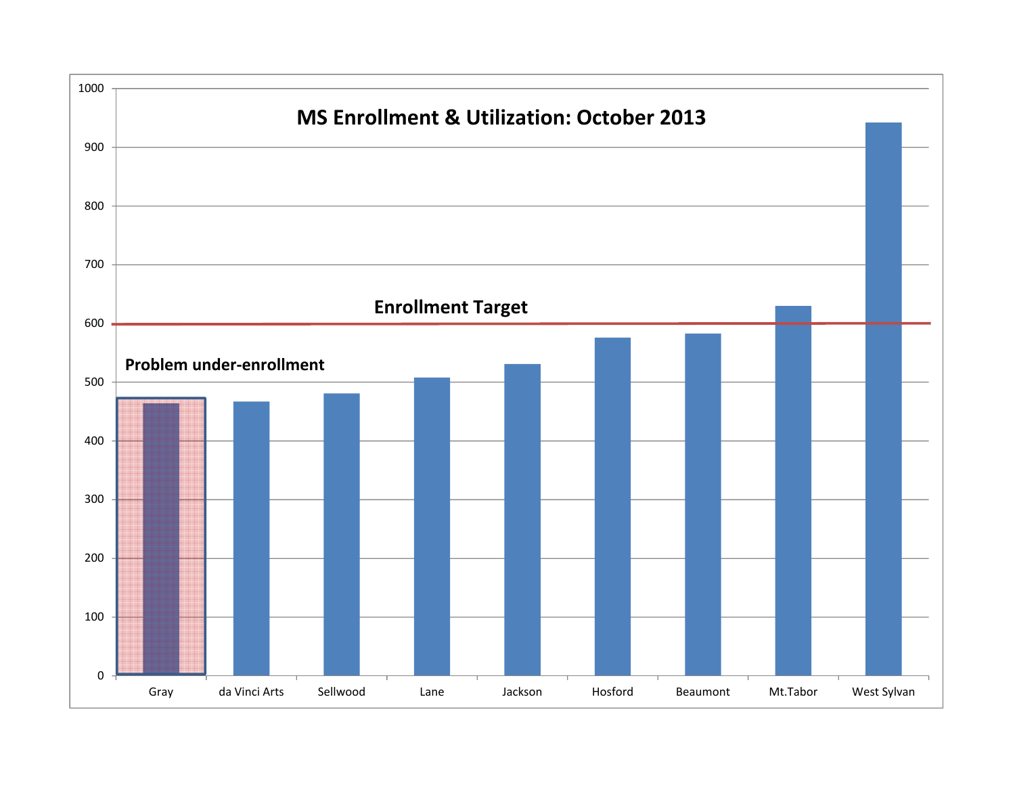